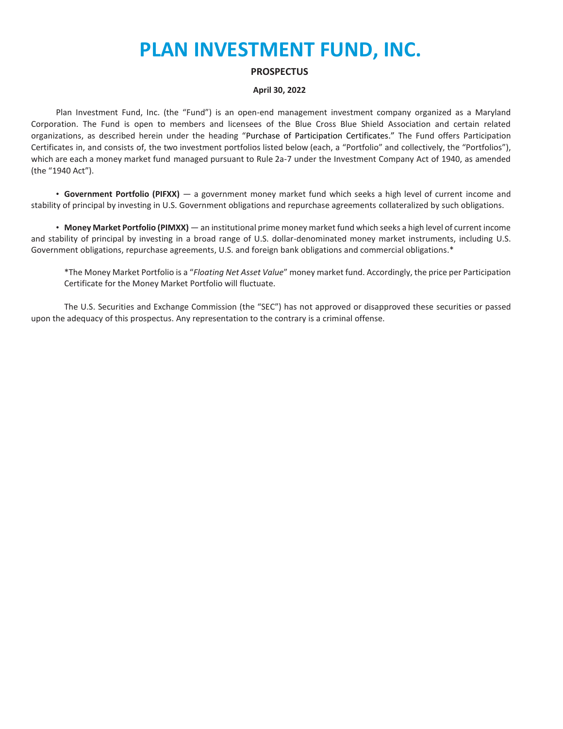# **PLAN INVESTMENT FUND, INC.**

# **PROSPECTUS**

# **April 30, 2022**

Plan Investment Fund, Inc. (the "Fund") is an open-end management investment company organized as a Maryland Corporation. The Fund is open to members and licensees of the Blue Cross Blue Shield Association and certain related organizations, as described herein under the heading "Purchase of Participation Certificates." The Fund offers Participation Certificates in, and consists of, the two investment portfolios listed below (each, a "Portfolio" and collectively, the "Portfolios"), which are each a money market fund managed pursuant to Rule 2a-7 under the Investment Company Act of 1940, as amended (the "1940 Act").

• **Government Portfolio (PIFXX)** — a government money market fund which seeks a high level of current income and stability of principal by investing in U.S. Government obligations and repurchase agreements collateralized by such obligations.

• **Money Market Portfolio (PIMXX)** — an institutional prime money market fund which seeks a high level of current income and stability of principal by investing in a broad range of U.S. dollar-denominated money market instruments, including U.S. Government obligations, repurchase agreements, U.S. and foreign bank obligations and commercial obligations.\*

\*The Money Market Portfolio is a "*Floating Net Asset Value*" money market fund. Accordingly, the price per Participation Certificate for the Money Market Portfolio will fluctuate.

The U.S. Securities and Exchange Commission (the "SEC") has not approved or disapproved these securities or passed upon the adequacy of this prospectus. Any representation to the contrary is a criminal offense.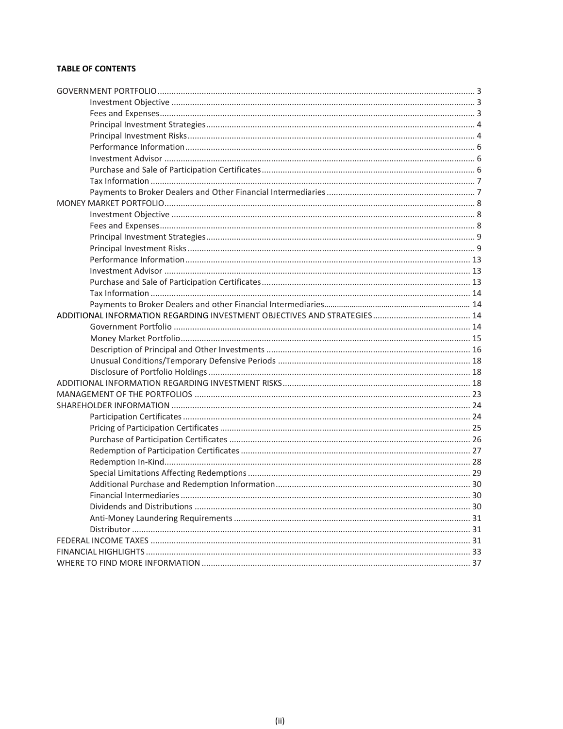# **TABLE OF CONTENTS**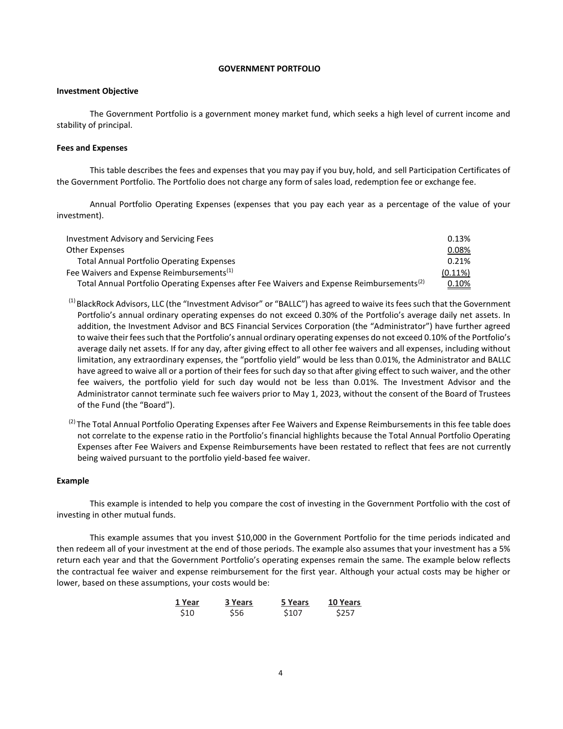## **GOVERNMENT PORTFOLIO**

## <span id="page-2-1"></span><span id="page-2-0"></span>**Investment Objective**

The Government Portfolio is a government money market fund, which seeks a high level of current income and stability of principal.

## <span id="page-2-2"></span>**Fees and Expenses**

This table describes the fees and expenses that you may pay if you buy, hold, and sell Participation Certificates of the Government Portfolio. The Portfolio does not charge any form of sales load, redemption fee or exchange fee.

Annual Portfolio Operating Expenses (expenses that you pay each year as a percentage of the value of your investment).

| <b>Investment Advisory and Servicing Fees</b>                                                         | 0.13%      |
|-------------------------------------------------------------------------------------------------------|------------|
| Other Expenses                                                                                        | 0.08%      |
| <b>Total Annual Portfolio Operating Expenses</b>                                                      | 0.21%      |
| Fee Waivers and Expense Reimbursements <sup>(1)</sup>                                                 | $(0.11\%)$ |
| Total Annual Portfolio Operating Expenses after Fee Waivers and Expense Reimbursements <sup>(2)</sup> | 0.10%      |

<sup>(1)</sup> BlackRock Advisors, LLC (the "Investment Advisor" or "BALLC") has agreed to waive its fees such that the Government Portfolio's annual ordinary operating expenses do not exceed 0.30% of the Portfolio's average daily net assets. In addition, the Investment Advisor and BCS Financial Services Corporation (the "Administrator") have further agreed to waive their fees such that the Portfolio's annual ordinary operating expenses do not exceed 0.10% of the Portfolio's average daily net assets. If for any day, after giving effect to all other fee waivers and all expenses, including without limitation, any extraordinary expenses, the "portfolio yield" would be less than 0.01%, the Administrator and BALLC have agreed to waive all or a portion of their fees for such day so that after giving effect to such waiver, and the other fee waivers, the portfolio yield for such day would not be less than 0.01%. The Investment Advisor and the Administrator cannot terminate such fee waivers prior to May 1, 2023, without the consent of the Board of Trustees of the Fund (the "Board").

 $(2)$  The Total Annual Portfolio Operating Expenses after Fee Waivers and Expense Reimbursements in this fee table does not correlate to the expense ratio in the Portfolio's financial highlights because the Total Annual Portfolio Operating Expenses after Fee Waivers and Expense Reimbursements have been restated to reflect that fees are not currently being waived pursuant to the portfolio yield-based fee waiver.

#### **Example**

This example is intended to help you compare the cost of investing in the Government Portfolio with the cost of investing in other mutual funds.

<span id="page-2-3"></span>This example assumes that you invest \$10,000 in the Government Portfolio for the time periods indicated and then redeem all of your investment at the end of those periods. The example also assumes that your investment has a 5% return each year and that the Government Portfolio's operating expenses remain the same. The example below reflects the contractual fee waiver and expense reimbursement for the first year. Although your actual costs may be higher or lower, based on these assumptions, your costs would be:

| 1 Year | 3 Years | 5 Years | <b>10 Years</b> |
|--------|---------|---------|-----------------|
| \$10   | \$56    | \$107   | \$257           |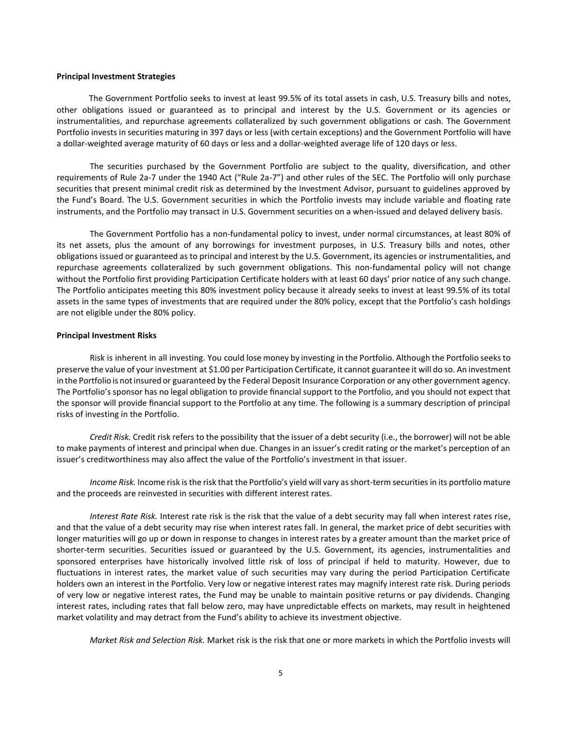#### **Principal Investment Strategies**

The Government Portfolio seeks to invest at least 99.5% of its total assets in cash, U.S. Treasury bills and notes, other obligations issued or guaranteed as to principal and interest by the U.S. Government or its agencies or instrumentalities, and repurchase agreements collateralized by such government obligations or cash. The Government Portfolio invests in securities maturing in 397 days or less (with certain exceptions) and the Government Portfolio will have a dollar-weighted average maturity of 60 days or less and a dollar-weighted average life of 120 days or less.

The securities purchased by the Government Portfolio are subject to the quality, diversification, and other requirements of Rule 2a-7 under the 1940 Act ("Rule 2a-7") and other rules of the SEC. The Portfolio will only purchase securities that present minimal credit risk as determined by the Investment Advisor, pursuant to guidelines approved by the Fund's Board. The U.S. Government securities in which the Portfolio invests may include variable and floating rate instruments, and the Portfolio may transact in U.S. Government securities on a when-issued and delayed delivery basis.

The Government Portfolio has a non-fundamental policy to invest, under normal circumstances, at least 80% of its net assets, plus the amount of any borrowings for investment purposes, in U.S. Treasury bills and notes, other obligations issued or guaranteed as to principal and interest by the U.S. Government, its agencies or instrumentalities, and repurchase agreements collateralized by such government obligations. This non-fundamental policy will not change without the Portfolio first providing Participation Certificate holders with at least 60 days' prior notice of any such change. The Portfolio anticipates meeting this 80% investment policy because it already seeks to invest at least 99.5% of its total assets in the same types of investments that are required under the 80% policy, except that the Portfolio's cash holdings are not eligible under the 80% policy.

#### <span id="page-3-0"></span>**Principal Investment Risks**

Risk is inherent in all investing. You could lose money by investing in the Portfolio. Although the Portfolio seeksto preserve the value of your investment at \$1.00 per Participation Certificate, it cannot guarantee it will do so. An investment in the Portfolio is notinsured or guaranteed by the Federal Deposit Insurance Corporation or any other government agency. The Portfolio's sponsor has no legal obligation to provide financial support to the Portfolio, and you should not expect that the sponsor will provide financial support to the Portfolio at any time. The following is a summary description of principal risks of investing in the Portfolio.

*Credit Risk.* Credit risk refers to the possibility that the issuer of a debt security (i.e., the borrower) will not be able to make payments of interest and principal when due. Changes in an issuer's credit rating or the market's perception of an issuer's creditworthiness may also affect the value of the Portfolio's investment in that issuer.

*Income Risk.* Income risk is the risk that the Portfolio's yield will vary as short-term securities in its portfolio mature and the proceeds are reinvested in securities with different interest rates.

*Interest Rate Risk.* Interest rate risk is the risk that the value of a debt security may fall when interest rates rise, and that the value of a debt security may rise when interest rates fall. In general, the market price of debt securities with longer maturities will go up or down in response to changes in interest rates by a greater amount than the market price of shorter-term securities. Securities issued or guaranteed by the U.S. Government, its agencies, instrumentalities and sponsored enterprises have historically involved little risk of loss of principal if held to maturity. However, due to fluctuations in interest rates, the market value of such securities may vary during the period Participation Certificate holders own an interest in the Portfolio. Very low or negative interest rates may magnify interest rate risk. During periods of very low or negative interest rates, the Fund may be unable to maintain positive returns or pay dividends. Changing interest rates, including rates that fall below zero, may have unpredictable effects on markets, may result in heightened market volatility and may detract from the Fund's ability to achieve its investment objective.

*Market Risk and Selection Risk.* Market risk is the risk that one or more markets in which the Portfolio invests will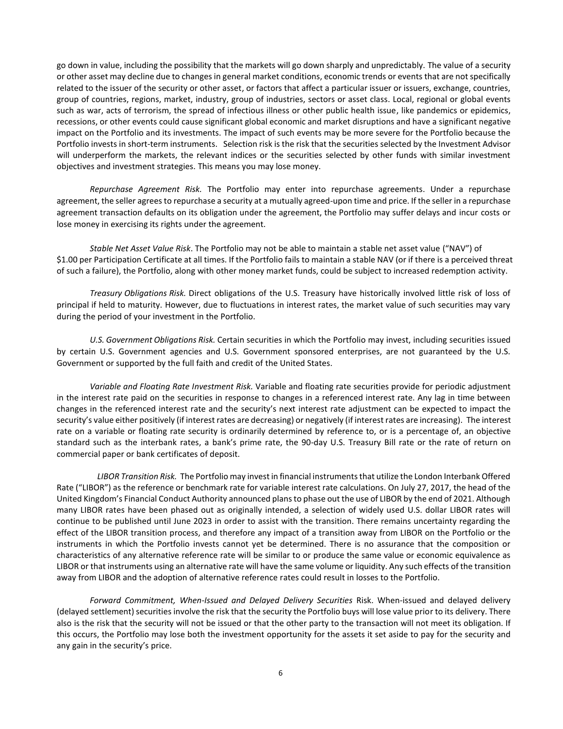go down in value, including the possibility that the markets will go down sharply and unpredictably. The value of a security or other asset may decline due to changes in general market conditions, economic trends or events that are not specifically related to the issuer of the security or other asset, or factors that affect a particular issuer or issuers, exchange, countries, group of countries, regions, market, industry, group of industries, sectors or asset class. Local, regional or global events such as war, acts of terrorism, the spread of infectious illness or other public health issue, like pandemics or epidemics, recessions, or other events could cause significant global economic and market disruptions and have a significant negative impact on the Portfolio and its investments. The impact of such events may be more severe for the Portfolio because the Portfolio invests in short-term instruments. Selection risk is the risk that the securities selected by the Investment Advisor will underperform the markets, the relevant indices or the securities selected by other funds with similar investment objectives and investment strategies. This means you may lose money.

*Repurchase Agreement Risk.* The Portfolio may enter into repurchase agreements. Under a repurchase agreement, the seller agrees to repurchase a security at a mutually agreed-upon time and price. If the seller in a repurchase agreement transaction defaults on its obligation under the agreement, the Portfolio may suffer delays and incur costs or lose money in exercising its rights under the agreement.

*Stable Net Asset Value Risk*. The Portfolio may not be able to maintain a stable net asset value ("NAV") of \$1.00 per Participation Certificate at all times. If the Portfolio fails to maintain a stable NAV (or if there is a perceived threat of such a failure), the Portfolio, along with other money market funds, could be subject to increased redemption activity.

*Treasury Obligations Risk.* Direct obligations of the U.S. Treasury have historically involved little risk of loss of principal if held to maturity. However, due to fluctuations in interest rates, the market value of such securities may vary during the period of your investment in the Portfolio.

*U.S. Government Obligations Risk.* Certain securities in which the Portfolio may invest, including securities issued by certain U.S. Government agencies and U.S. Government sponsored enterprises, are not guaranteed by the U.S. Government or supported by the full faith and credit of the United States.

*Variable and Floating Rate Investment Risk.* Variable and floating rate securities provide for periodic adjustment in the interest rate paid on the securities in response to changes in a referenced interest rate. Any lag in time between changes in the referenced interest rate and the security's next interest rate adjustment can be expected to impact the security's value either positively (if interest rates are decreasing) or negatively (if interest rates are increasing). The interest rate on a variable or floating rate security is ordinarily determined by reference to, or is a percentage of, an objective standard such as the interbank rates, a bank's prime rate, the 90-day U.S. Treasury Bill rate or the rate of return on commercial paper or bank certificates of deposit.

*LIBOR Transition Risk.* The Portfolio may invest in financial instruments that utilize the London Interbank Offered Rate ("LIBOR") as the reference or benchmark rate for variable interest rate calculations. On July 27, 2017, the head of the United Kingdom's Financial Conduct Authority announced plans to phase out the use of LIBOR by the end of 2021. Although many LIBOR rates have been phased out as originally intended, a selection of widely used U.S. dollar LIBOR rates will continue to be published until June 2023 in order to assist with the transition. There remains uncertainty regarding the effect of the LIBOR transition process, and therefore any impact of a transition away from LIBOR on the Portfolio or the instruments in which the Portfolio invests cannot yet be determined. There is no assurance that the composition or characteristics of any alternative reference rate will be similar to or produce the same value or economic equivalence as LIBOR or that instruments using an alternative rate will have the same volume or liquidity. Any such effects of the transition away from LIBOR and the adoption of alternative reference rates could result in losses to the Portfolio.

<span id="page-4-0"></span>*Forward Commitment, When-Issued and Delayed Delivery Securities* Risk. When-issued and delayed delivery (delayed settlement) securities involve the risk that the security the Portfolio buys will lose value prior to its delivery. There also is the risk that the security will not be issued or that the other party to the transaction will not meet its obligation. If this occurs, the Portfolio may lose both the investment opportunity for the assets it set aside to pay for the security and any gain in the security's price.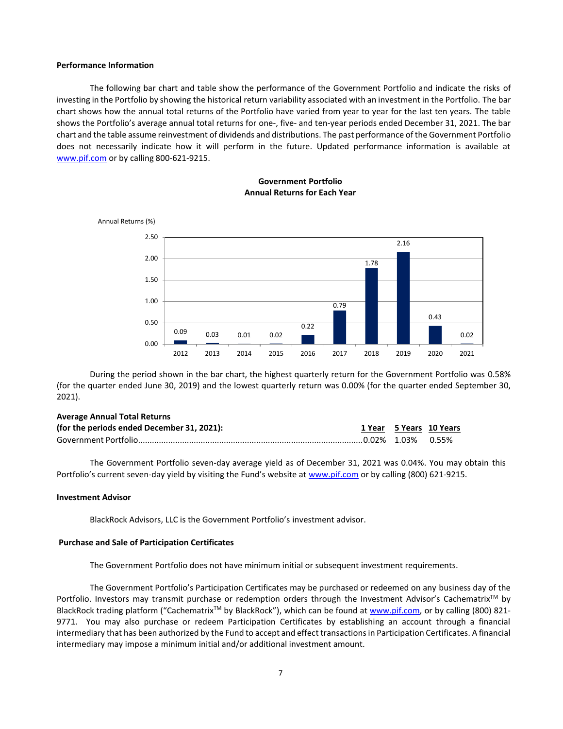#### **Performance Information**

The following bar chart and table show the performance of the Government Portfolio and indicate the risks of investing in the Portfolio by showing the historical return variability associated with an investment in the Portfolio. The bar chart shows how the annual total returns of the Portfolio have varied from year to year for the last ten years. The table shows the Portfolio's average annual total returns for one-, five- and ten-year periods ended December 31, 2021. The bar chart and the table assume reinvestment of dividends and distributions. The past performance of the Government Portfolio does not necessarily indicate how it will perform in the future. Updated performance information is available at [www.pif.com](http://www.pif.com/) or by calling 800-621-9215.



# **Government Portfolio Annual Returns for Each Year**

During the period shown in the bar chart, the highest quarterly return for the Government Portfolio was 0.58% (for the quarter ended June 30, 2019) and the lowest quarterly return was 0.00% (for the quarter ended September 30, 2021).

| <b>Average Annual Total Returns</b>        |  |                         |
|--------------------------------------------|--|-------------------------|
| (for the periods ended December 31, 2021): |  | 1 Year 5 Years 10 Years |
|                                            |  |                         |

The Government Portfolio seven-day average yield as of December 31, 2021 was 0.04%. You may obtain this Portfolio's current seven-day yield by visiting the Fund's website at [www.pif.com](http://www.pif.com/) or by calling (800) 621-9215.

#### <span id="page-5-0"></span>**Investment Advisor**

<span id="page-5-1"></span>BlackRock Advisors, LLC is the Government Portfolio's investment advisor.

#### **Purchase and Sale of Participation Certificates**

The Government Portfolio does not have minimum initial or subsequent investment requirements.

<span id="page-5-2"></span>The Government Portfolio's Participation Certificates may be purchased or redeemed on any business day of the Portfolio. Investors may transmit purchase or redemption orders through the Investment Advisor's Cachematrix<sup>™</sup> by BlackRock trading platform ("Cachematrix<sup>™</sup> by BlackRock"), which can be found at [www.pif.com, o](http://www.pif.com/)r by calling (800) 821-9771. You may also purchase or redeem Participation Certificates by establishing an account through a financial intermediary that has been authorized by the Fund to accept and effect transactions in Participation Certificates. A financial intermediary may impose a minimum initial and/or additional investment amount.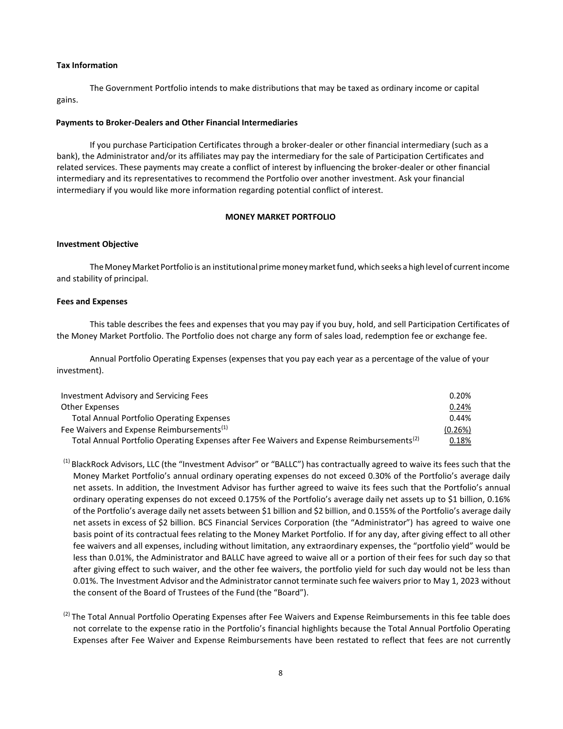## **Tax Information**

The Government Portfolio intends to make distributions that may be taxed as ordinary income or capital gains.

#### **Payments to Broker-Dealers and Other Financial Intermediaries**

If you purchase Participation Certificates through a broker-dealer or other financial intermediary (such as a bank), the Administrator and/or its affiliates may pay the intermediary for the sale of Participation Certificates and related services. These payments may create a conflict of interest by influencing the broker-dealer or other financial intermediary and its representatives to recommend the Portfolio over another investment. Ask your financial intermediary if you would like more information regarding potential conflict of interest.

# **MONEY MARKET PORTFOLIO**

## <span id="page-6-1"></span><span id="page-6-0"></span>**Investment Objective**

The Money Market Portfolio is an institutional prime money market fund, which seeks a high level of current income and stability of principal.

## <span id="page-6-2"></span>**Fees and Expenses**

This table describes the fees and expenses that you may pay if you buy, hold, and sell Participation Certificates of the Money Market Portfolio. The Portfolio does not charge any form of sales load, redemption fee or exchange fee.

Annual Portfolio Operating Expenses (expenses that you pay each year as a percentage of the value of your investment).

| Investment Advisory and Servicing Fees                                                                | 0.20%   |
|-------------------------------------------------------------------------------------------------------|---------|
| Other Expenses                                                                                        | 0.24%   |
| <b>Total Annual Portfolio Operating Expenses</b>                                                      | 0.44%   |
| Fee Waivers and Expense Reimbursements <sup>(1)</sup>                                                 | (0.26%) |
| Total Annual Portfolio Operating Expenses after Fee Waivers and Expense Reimbursements <sup>(2)</sup> | 0.18%   |

 $<sup>(1)</sup>$  BlackRock Advisors, LLC (the "Investment Advisor" or "BALLC") has contractually agreed to waive its fees such that the</sup> Money Market Portfolio's annual ordinary operating expenses do not exceed 0.30% of the Portfolio's average daily net assets. In addition, the Investment Advisor has further agreed to waive its fees such that the Portfolio's annual ordinary operating expenses do not exceed 0.175% of the Portfolio's average daily net assets up to \$1 billion, 0.16% of the Portfolio's average daily net assets between \$1 billion and \$2 billion, and 0.155% of the Portfolio's average daily net assets in excess of \$2 billion. BCS Financial Services Corporation (the "Administrator") has agreed to waive one basis point of its contractual fees relating to the Money Market Portfolio. If for any day, after giving effect to all other fee waivers and all expenses, including without limitation, any extraordinary expenses, the "portfolio yield" would be less than 0.01%, the Administrator and BALLC have agreed to waive all or a portion of their fees for such day so that after giving effect to such waiver, and the other fee waivers, the portfolio yield for such day would not be less than 0.01%. The Investment Advisor and the Administrator cannot terminate such fee waivers prior to May 1, 2023 without the consent of the Board of Trustees of the Fund (the "Board").

<sup>(2)</sup> The Total Annual Portfolio Operating Expenses after Fee Waivers and Expense Reimbursements in this fee table does not correlate to the expense ratio in the Portfolio's financial highlights because the Total Annual Portfolio Operating Expenses after Fee Waiver and Expense Reimbursements have been restated to reflect that fees are not currently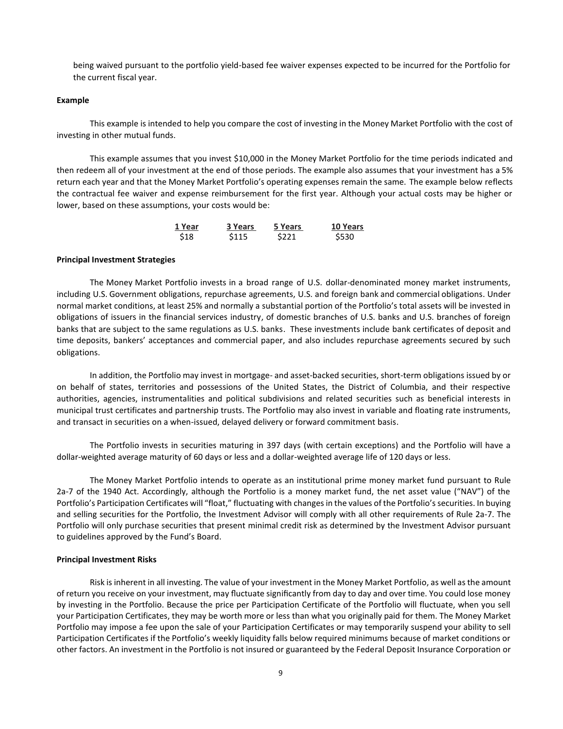being waived pursuant to the portfolio yield-based fee waiver expenses expected to be incurred for the Portfolio for the current fiscal year.

#### **Example**

This example is intended to help you compare the cost of investing in the Money Market Portfolio with the cost of investing in other mutual funds.

This example assumes that you invest \$10,000 in the Money Market Portfolio for the time periods indicated and then redeem all of your investment at the end of those periods. The example also assumes that your investment has a 5% return each year and that the Money Market Portfolio's operating expenses remain the same. The example below reflects the contractual fee waiver and expense reimbursement for the first year. Although your actual costs may be higher or lower, based on these assumptions, your costs would be:

| 1 Year | 3 Years | 5 Years | 10 Years |
|--------|---------|---------|----------|
| \$18   | \$115   | \$221   | \$530    |

## <span id="page-7-0"></span>**Principal Investment Strategies**

The Money Market Portfolio invests in a broad range of U.S. dollar-denominated money market instruments, including U.S. Government obligations, repurchase agreements, U.S. and foreign bank and commercial obligations. Under normal market conditions, at least 25% and normally a substantial portion of the Portfolio's total assets will be invested in obligations of issuers in the financial services industry, of domestic branches of U.S. banks and U.S. branches of foreign banks that are subject to the same regulations as U.S. banks. These investments include bank certificates of deposit and time deposits, bankers' acceptances and commercial paper, and also includes repurchase agreements secured by such obligations.

In addition, the Portfolio may invest in mortgage- and asset-backed securities, short-term obligations issued by or on behalf of states, territories and possessions of the United States, the District of Columbia, and their respective authorities, agencies, instrumentalities and political subdivisions and related securities such as beneficial interests in municipal trust certificates and partnership trusts. The Portfolio may also invest in variable and floating rate instruments, and transact in securities on a when-issued, delayed delivery or forward commitment basis.

The Portfolio invests in securities maturing in 397 days (with certain exceptions) and the Portfolio will have a dollar-weighted average maturity of 60 days or less and a dollar-weighted average life of 120 days or less.

The Money Market Portfolio intends to operate as an institutional prime money market fund pursuant to Rule 2a-7 of the 1940 Act. Accordingly, although the Portfolio is a money market fund, the net asset value ("NAV") of the Portfolio's Participation Certificates will "float," fluctuating with changes in the values of the Portfolio's securities. In buying and selling securities for the Portfolio, the Investment Advisor will comply with all other requirements of Rule 2a-7. The Portfolio will only purchase securities that present minimal credit risk as determined by the Investment Advisor pursuant to guidelines approved by the Fund's Board.

#### <span id="page-7-1"></span>**Principal Investment Risks**

Risk is inherent in all investing. The value of your investment in the Money Market Portfolio, as well as the amount of return you receive on your investment, may fluctuate significantly from day to day and over time. You could lose money by investing in the Portfolio. Because the price per Participation Certificate of the Portfolio will fluctuate, when you sell your Participation Certificates, they may be worth more or less than what you originally paid for them. The Money Market Portfolio may impose a fee upon the sale of your Participation Certificates or may temporarily suspend your ability to sell Participation Certificates if the Portfolio's weekly liquidity falls below required minimums because of market conditions or other factors. An investment in the Portfolio is not insured or guaranteed by the Federal Deposit Insurance Corporation or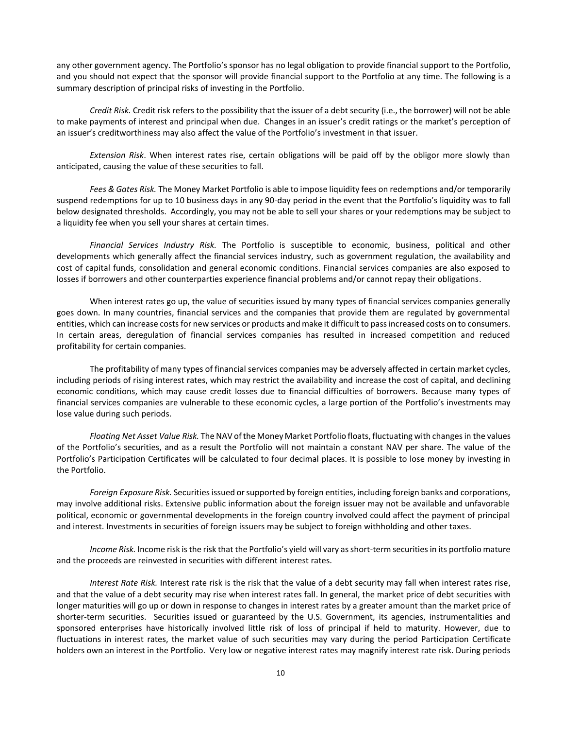any other government agency. The Portfolio's sponsor has no legal obligation to provide financial support to the Portfolio, and you should not expect that the sponsor will provide financial support to the Portfolio at any time. The following is a summary description of principal risks of investing in the Portfolio.

*Credit Risk.* Credit risk refers to the possibility that the issuer of a debt security (i.e., the borrower) will not be able to make payments of interest and principal when due. Changes in an issuer's credit ratings or the market's perception of an issuer's creditworthiness may also affect the value of the Portfolio's investment in that issuer.

*Extension Risk*. When interest rates rise, certain obligations will be paid off by the obligor more slowly than anticipated, causing the value of these securities to fall.

*Fees & Gates Risk.* The Money Market Portfolio is able to impose liquidity fees on redemptions and/or temporarily suspend redemptions for up to 10 business days in any 90-day period in the event that the Portfolio's liquidity was to fall below designated thresholds. Accordingly, you may not be able to sell your shares or your redemptions may be subject to a liquidity fee when you sell your shares at certain times.

*Financial Services Industry Risk.* The Portfolio is susceptible to economic, business, political and other developments which generally affect the financial services industry, such as government regulation, the availability and cost of capital funds, consolidation and general economic conditions. Financial services companies are also exposed to losses if borrowers and other counterparties experience financial problems and/or cannot repay their obligations.

When interest rates go up, the value of securities issued by many types of financial services companies generally goes down. In many countries, financial services and the companies that provide them are regulated by governmental entities, which can increase costs for new services or products and make it difficult to pass increased costs on to consumers. In certain areas, deregulation of financial services companies has resulted in increased competition and reduced profitability for certain companies.

The profitability of many types of financial services companies may be adversely affected in certain market cycles, including periods of rising interest rates, which may restrict the availability and increase the cost of capital, and declining economic conditions, which may cause credit losses due to financial difficulties of borrowers. Because many types of financial services companies are vulnerable to these economic cycles, a large portion of the Portfolio's investments may lose value during such periods.

*Floating Net Asset Value Risk.* The NAV ofthe Money Market Portfolio floats, fluctuating with changesin the values of the Portfolio's securities, and as a result the Portfolio will not maintain a constant NAV per share. The value of the Portfolio's Participation Certificates will be calculated to four decimal places. It is possible to lose money by investing in the Portfolio.

*Foreign Exposure Risk.* Securities issued or supported by foreign entities, including foreign banks and corporations, may involve additional risks. Extensive public information about the foreign issuer may not be available and unfavorable political, economic or governmental developments in the foreign country involved could affect the payment of principal and interest. Investments in securities of foreign issuers may be subject to foreign withholding and other taxes.

*Income Risk.* Income risk is the risk that the Portfolio's yield will vary as short-term securities in its portfolio mature and the proceeds are reinvested in securities with different interest rates.

*Interest Rate Risk.* Interest rate risk is the risk that the value of a debt security may fall when interest rates rise, and that the value of a debt security may rise when interest rates fall. In general, the market price of debt securities with longer maturities will go up or down in response to changes in interest rates by a greater amount than the market price of shorter-term securities. Securities issued or guaranteed by the U.S. Government, its agencies, instrumentalities and sponsored enterprises have historically involved little risk of loss of principal if held to maturity. However, due to fluctuations in interest rates, the market value of such securities may vary during the period Participation Certificate holders own an interest in the Portfolio. Very low or negative interest rates may magnify interest rate risk. During periods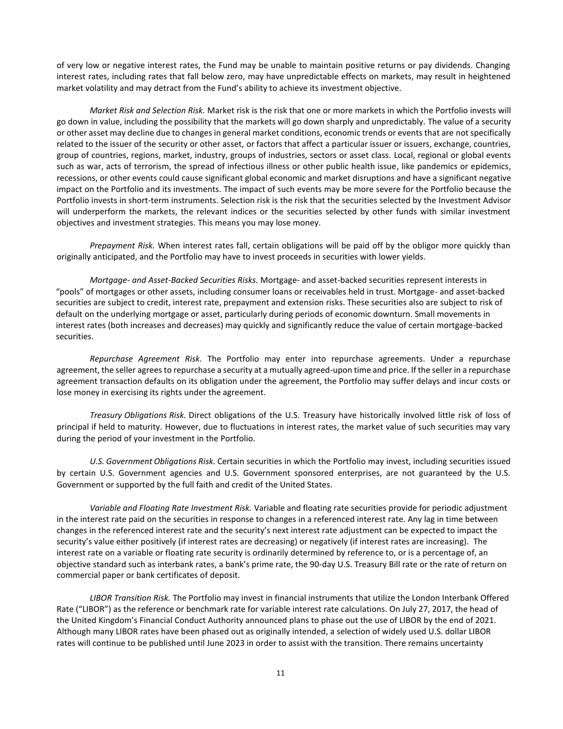of very low or negative interest rates, the Fund may be unable to maintain positive returns or pay dividends. Changing interest rates, including rates that fall below zero, may have unpredictable effects on markets, may result in heightened market volatility and may detract from the Fund's ability to achieve its investment objective.

*Market Risk and Selection Risk.* Market risk is the risk that one or more markets in which the Portfolio invests will go down in value, including the possibility that the markets will go down sharply and unpredictably. The value of a security or other asset may decline due to changes in general market conditions, economic trends or events that are not specifically related to the issuer of the security or other asset, or factors that affect a particular issuer or issuers, exchange, countries, group of countries, regions, market, industry, groups of industries, sectors or asset class. Local, regional or global events such as war, acts of terrorism, the spread of infectious illness or other public health issue, like pandemics or epidemics, recessions, or other events could cause significant global economic and market disruptions and have a significant negative impact on the Portfolio and its investments. The impact of such events may be more severe for the Portfolio because the Portfolio invests in short-term instruments. Selection risk is the risk that the securities selected by the Investment Advisor will underperform the markets, the relevant indices or the securities selected by other funds with similar investment objectives and investment strategies. This means you may lose money.

*Prepayment Risk.* When interest rates fall, certain obligations will be paid off by the obligor more quickly than originally anticipated, and the Portfolio may have to invest proceeds in securities with lower yields.

*Mortgage- and Asset-Backed Securities Risks.* Mortgage- and asset-backed securities represent interests in "pools" of mortgages or other assets, including consumer loans or receivables held in trust. Mortgage- and asset-backed securities are subject to credit, interest rate, prepayment and extension risks. These securities also are subject to risk of default on the underlying mortgage or asset, particularly during periods of economic downturn. Small movements in interest rates (both increases and decreases) may quickly and significantly reduce the value of certain mortgage-backed securities.

*Repurchase Agreement Risk.* The Portfolio may enter into repurchase agreements. Under a repurchase agreement, the seller agrees to repurchase a security at a mutually agreed-upon time and price. If the seller in a repurchase agreement transaction defaults on its obligation under the agreement, the Portfolio may suffer delays and incur costs or lose money in exercising its rights under the agreement.

*Treasury Obligations Risk.* Direct obligations of the U.S. Treasury have historically involved little risk of loss of principal if held to maturity. However, due to fluctuations in interest rates, the market value of such securities may vary during the period of your investment in the Portfolio.

*U.S. Government Obligations Risk.* Certain securities in which the Portfolio may invest, including securities issued by certain U.S. Government agencies and U.S. Government sponsored enterprises, are not guaranteed by the U.S. Government or supported by the full faith and credit of the United States.

*Variable and Floating Rate Investment Risk.* Variable and floating rate securities provide for periodic adjustment in the interest rate paid on the securities in response to changes in a referenced interest rate. Any lag in time between changes in the referenced interest rate and the security's next interest rate adjustment can be expected to impact the security's value either positively (if interest rates are decreasing) or negatively (if interest rates are increasing). The interest rate on a variable or floating rate security is ordinarily determined by reference to, or is a percentage of, an objective standard such as interbank rates, a bank's prime rate, the 90-day U.S. Treasury Bill rate or the rate of return on commercial paper or bank certificates of deposit.

*LIBOR Transition Risk.* The Portfolio may invest in financial instruments that utilize the London Interbank Offered Rate ("LIBOR") as the reference or benchmark rate for variable interest rate calculations. On July 27, 2017, the head of the United Kingdom's Financial Conduct Authority announced plans to phase out the use of LIBOR by the end of 2021. Although many LIBOR rates have been phased out as originally intended, a selection of widely used U.S. dollar LIBOR rates will continue to be published until June 2023 in order to assist with the transition. There remains uncertainty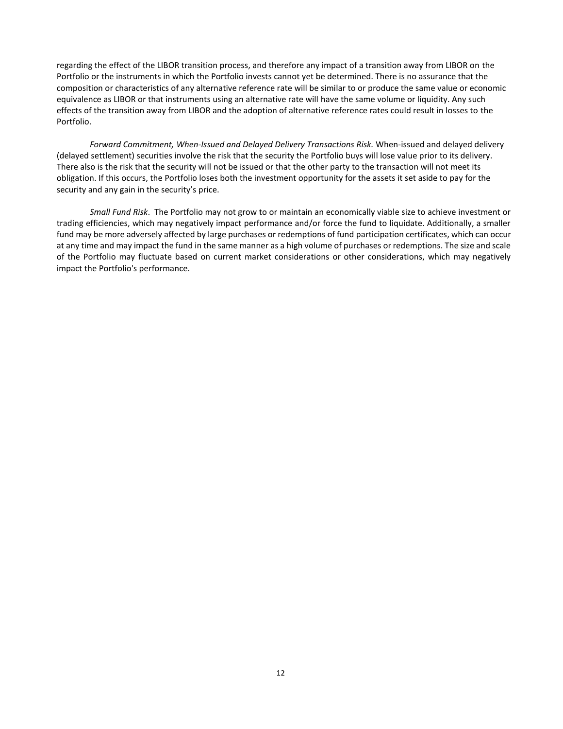regarding the effect of the LIBOR transition process, and therefore any impact of a transition away from LIBOR on the Portfolio or the instruments in which the Portfolio invests cannot yet be determined. There is no assurance that the composition or characteristics of any alternative reference rate will be similar to or produce the same value or economic equivalence as LIBOR or that instruments using an alternative rate will have the same volume or liquidity. Any such effects of the transition away from LIBOR and the adoption of alternative reference rates could result in losses to the Portfolio.

*Forward Commitment, When-Issued and Delayed Delivery Transactions Risk.* When-issued and delayed delivery (delayed settlement) securities involve the risk that the security the Portfolio buys will lose value prior to its delivery. There also is the risk that the security will not be issued or that the other party to the transaction will not meet its obligation. If this occurs, the Portfolio loses both the investment opportunity for the assets it set aside to pay for the security and any gain in the security's price.

<span id="page-10-0"></span>*Small Fund Risk*. The Portfolio may not grow to or maintain an economically viable size to achieve investment or trading efficiencies, which may negatively impact performance and/or force the fund to liquidate. Additionally, a smaller fund may be more adversely affected by large purchases or redemptions of fund participation certificates, which can occur at any time and may impact the fund in the same manner as a high volume of purchases or redemptions. The size and scale of the Portfolio may fluctuate based on current market considerations or other considerations, which may negatively impact the Portfolio's performance.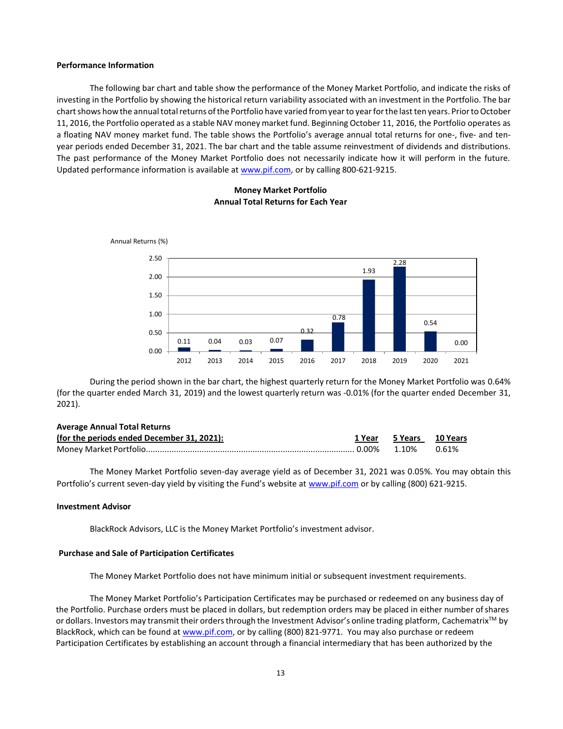## **Performance Information**

The following bar chart and table show the performance of the Money Market Portfolio, and indicate the risks of investing in the Portfolio by showing the historical return variability associated with an investment in the Portfolio. The bar chart shows how the annual total returns of the Portfolio have varied from year to year for the last ten years. Prior to October 11, 2016, the Portfolio operated as a stable NAV money market fund. Beginning October 11, 2016, the Portfolio operates as a floating NAV money market fund. The table shows the Portfolio's average annual total returns for one-, five- and tenyear periods ended December 31, 2021. The bar chart and the table assume reinvestment of dividends and distributions. The past performance of the Money Market Portfolio does not necessarily indicate how it will perform in the future. Updated performance information is available at [www.pif.com, o](http://www.pif.com/)r by calling 800-621-9215.



# **Money Market Portfolio Annual Total Returns for Each Year**

During the period shown in the bar chart, the highest quarterly return for the Money Market Portfolio was 0.64% (for the quarter ended March 31, 2019) and the lowest quarterly return was -0.01% (for the quarter ended December 31, 2021).

| <b>Average Annual Total Returns</b>        |        |                   |       |
|--------------------------------------------|--------|-------------------|-------|
| (for the periods ended December 31, 2021): | 1 Year | 5 Years  10 Years |       |
|                                            |        |                   | 0.61% |

The Money Market Portfolio seven-day average yield as of December 31, 2021 was 0.05%. You may obtain this Portfolio's current seven-day yield by visiting the Fund's website at [www.pif.com](http://www.pif.com/) or by calling (800) 621-9215.

## <span id="page-11-0"></span>**Investment Advisor**

<span id="page-11-1"></span>BlackRock Advisors, LLC is the Money Market Portfolio's investment advisor.

## **Purchase and Sale of Participation Certificates**

The Money Market Portfolio does not have minimum initial or subsequent investment requirements.

The Money Market Portfolio's Participation Certificates may be purchased or redeemed on any business day of the Portfolio. Purchase orders must be placed in dollars, but redemption orders may be placed in either number of shares or dollars. Investors may transmit their orders through the Investment Advisor's online trading platform, Cachematrix<sup>™</sup> by BlackRock, which can be found a[t www.pif.com, o](http://www.pif.com/)r by calling (800) 821-9771. You may also purchase or redeem Participation Certificates by establishing an account through a financial intermediary that has been authorized by the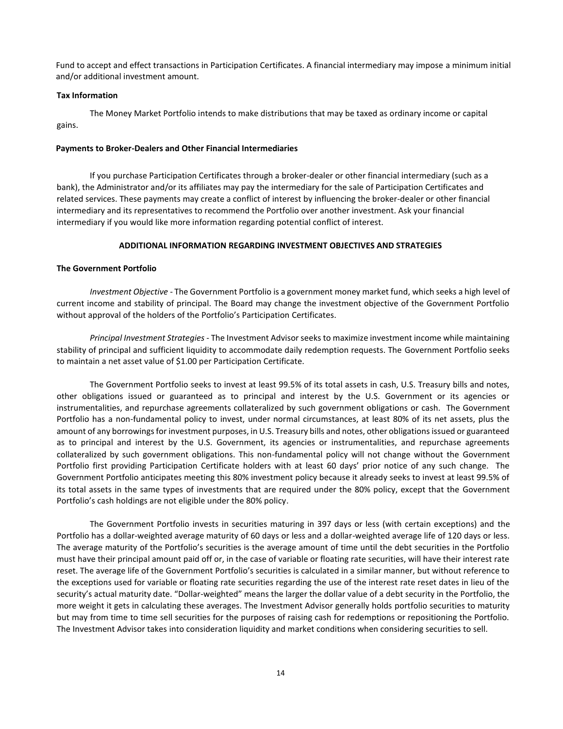Fund to accept and effect transactions in Participation Certificates. A financial intermediary may impose a minimum initial and/or additional investment amount.

## <span id="page-12-0"></span>**Tax Information**

The Money Market Portfolio intends to make distributions that may be taxed as ordinary income or capital gains.

#### **Payments to Broker-Dealers and Other Financial Intermediaries**

If you purchase Participation Certificates through a broker-dealer or other financial intermediary (such as a bank), the Administrator and/or its affiliates may pay the intermediary for the sale of Participation Certificates and related services. These payments may create a conflict of interest by influencing the broker-dealer or other financial intermediary and its representatives to recommend the Portfolio over another investment. Ask your financial intermediary if you would like more information regarding potential conflict of interest.

## **ADDITIONAL INFORMATION REGARDING INVESTMENT OBJECTIVES AND STRATEGIES**

## <span id="page-12-1"></span>**The Government Portfolio**

*Investment Objective* - The Government Portfolio is a government money market fund, which seeks a high level of current income and stability of principal. The Board may change the investment objective of the Government Portfolio without approval of the holders of the Portfolio's Participation Certificates.

*Principal Investment Strategies* - The Investment Advisor seeks to maximize investment income while maintaining stability of principal and sufficient liquidity to accommodate daily redemption requests. The Government Portfolio seeks to maintain a net asset value of \$1.00 per Participation Certificate.

The Government Portfolio seeks to invest at least 99.5% of its total assets in cash, U.S. Treasury bills and notes, other obligations issued or guaranteed as to principal and interest by the U.S. Government or its agencies or instrumentalities, and repurchase agreements collateralized by such government obligations or cash. The Government Portfolio has a non-fundamental policy to invest, under normal circumstances, at least 80% of its net assets, plus the amount of any borrowings for investment purposes, in U.S. Treasury bills and notes, other obligations issued or guaranteed as to principal and interest by the U.S. Government, its agencies or instrumentalities, and repurchase agreements collateralized by such government obligations. This non-fundamental policy will not change without the Government Portfolio first providing Participation Certificate holders with at least 60 days' prior notice of any such change. The Government Portfolio anticipates meeting this 80% investment policy because it already seeks to invest at least 99.5% of its total assets in the same types of investments that are required under the 80% policy, except that the Government Portfolio's cash holdings are not eligible under the 80% policy.

The Government Portfolio invests in securities maturing in 397 days or less (with certain exceptions) and the Portfolio has a dollar-weighted average maturity of 60 days or less and a dollar-weighted average life of 120 days or less. The average maturity of the Portfolio's securities is the average amount of time until the debt securities in the Portfolio must have their principal amount paid off or, in the case of variable or floating rate securities, will have their interest rate reset. The average life of the Government Portfolio's securities is calculated in a similar manner, but without reference to the exceptions used for variable or floating rate securities regarding the use of the interest rate reset dates in lieu of the security's actual maturity date. "Dollar-weighted" means the larger the dollar value of a debt security in the Portfolio, the more weight it gets in calculating these averages. The Investment Advisor generally holds portfolio securities to maturity but may from time to time sell securities for the purposes of raising cash for redemptions or repositioning the Portfolio. The Investment Advisor takes into consideration liquidity and market conditions when considering securities to sell.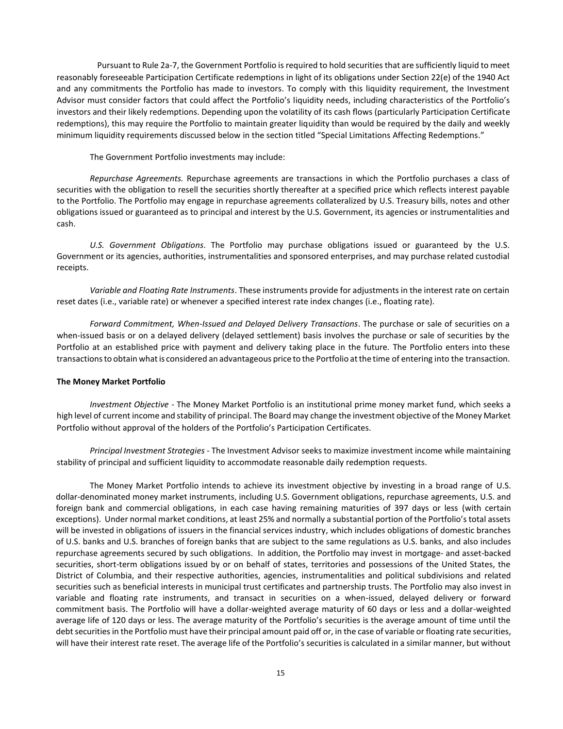Pursuant to Rule 2a-7, the Government Portfolio is required to hold securities that are sufficiently liquid to meet reasonably foreseeable Participation Certificate redemptions in light of its obligations under Section 22(e) of the 1940 Act and any commitments the Portfolio has made to investors. To comply with this liquidity requirement, the Investment Advisor must consider factors that could affect the Portfolio's liquidity needs, including characteristics of the Portfolio's investors and their likely redemptions. Depending upon the volatility of its cash flows (particularly Participation Certificate redemptions), this may require the Portfolio to maintain greater liquidity than would be required by the daily and weekly minimum liquidity requirements discussed below in the section titled "Special Limitations Affecting Redemptions."

The Government Portfolio investments may include:

*Repurchase Agreements.* Repurchase agreements are transactions in which the Portfolio purchases a class of securities with the obligation to resell the securities shortly thereafter at a specified price which reflects interest payable to the Portfolio. The Portfolio may engage in repurchase agreements collateralized by U.S. Treasury bills, notes and other obligations issued or guaranteed as to principal and interest by the U.S. Government, its agencies or instrumentalities and cash.

*U.S. Government Obligations*. The Portfolio may purchase obligations issued or guaranteed by the U.S. Government or its agencies, authorities, instrumentalities and sponsored enterprises, and may purchase related custodial receipts.

*Variable and Floating Rate Instruments*. These instruments provide for adjustments in the interest rate on certain reset dates (i.e., variable rate) or whenever a specified interest rate index changes (i.e., floating rate).

*Forward Commitment, When-Issued and Delayed Delivery Transactions*. The purchase or sale of securities on a when-issued basis or on a delayed delivery (delayed settlement) basis involves the purchase or sale of securities by the Portfolio at an established price with payment and delivery taking place in the future. The Portfolio enters into these transactions to obtain what is considered an advantageous price to the Portfolio at the time of entering into the transaction.

#### **The Money Market Portfolio**

*Investment Objective* - The Money Market Portfolio is an institutional prime money market fund, which seeks a high level of current income and stability of principal. The Board may change the investment objective of the Money Market Portfolio without approval of the holders of the Portfolio's Participation Certificates.

*Principal Investment Strategies* - The Investment Advisor seeks to maximize investment income while maintaining stability of principal and sufficient liquidity to accommodate reasonable daily redemption requests.

The Money Market Portfolio intends to achieve its investment objective by investing in a broad range of U.S. dollar-denominated money market instruments, including U.S. Government obligations, repurchase agreements, U.S. and foreign bank and commercial obligations, in each case having remaining maturities of 397 days or less (with certain exceptions). Under normal market conditions, at least 25% and normally a substantial portion of the Portfolio's total assets will be invested in obligations of issuers in the financial services industry, which includes obligations of domestic branches of U.S. banks and U.S. branches of foreign banks that are subject to the same regulations as U.S. banks, and also includes repurchase agreements secured by such obligations. In addition, the Portfolio may invest in mortgage- and asset-backed securities, short-term obligations issued by or on behalf of states, territories and possessions of the United States, the District of Columbia, and their respective authorities, agencies, instrumentalities and political subdivisions and related securities such as beneficial interests in municipal trust certificates and partnership trusts. The Portfolio may also invest in variable and floating rate instruments, and transact in securities on a when-issued, delayed delivery or forward commitment basis. The Portfolio will have a dollar-weighted average maturity of 60 days or less and a dollar-weighted average life of 120 days or less. The average maturity of the Portfolio's securities is the average amount of time until the debt securities in the Portfolio must have their principal amount paid off or, in the case of variable or floating rate securities, will have their interest rate reset. The average life of the Portfolio's securities is calculated in a similar manner, but without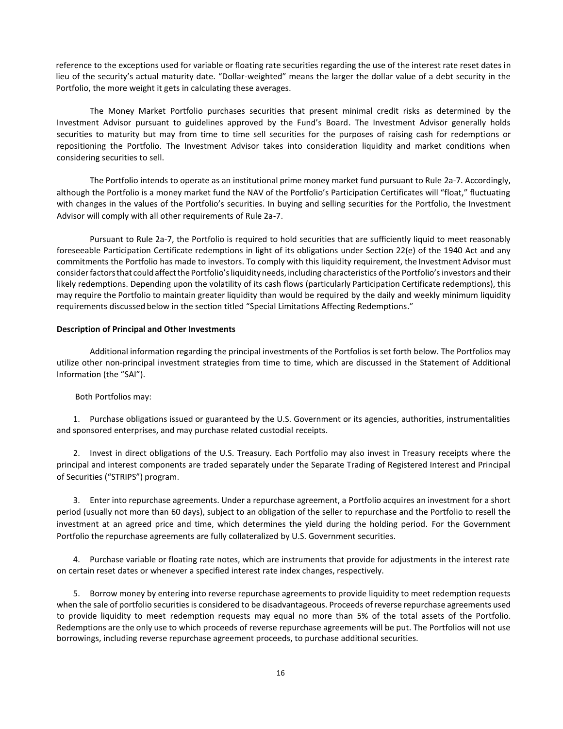reference to the exceptions used for variable or floating rate securities regarding the use of the interest rate reset dates in lieu of the security's actual maturity date. "Dollar-weighted" means the larger the dollar value of a debt security in the Portfolio, the more weight it gets in calculating these averages.

The Money Market Portfolio purchases securities that present minimal credit risks as determined by the Investment Advisor pursuant to guidelines approved by the Fund's Board. The Investment Advisor generally holds securities to maturity but may from time to time sell securities for the purposes of raising cash for redemptions or repositioning the Portfolio. The Investment Advisor takes into consideration liquidity and market conditions when considering securities to sell.

The Portfolio intends to operate as an institutional prime money market fund pursuant to Rule 2a-7. Accordingly, although the Portfolio is a money market fund the NAV of the Portfolio's Participation Certificates will "float," fluctuating with changes in the values of the Portfolio's securities. In buying and selling securities for the Portfolio, the Investment Advisor will comply with all other requirements of Rule 2a-7.

Pursuant to Rule 2a-7, the Portfolio is required to hold securities that are sufficiently liquid to meet reasonably foreseeable Participation Certificate redemptions in light of its obligations under Section 22(e) of the 1940 Act and any commitments the Portfolio has made to investors. To comply with this liquidity requirement, the Investment Advisor must considerfactorsthat couldaffectthe Portfolio'sliquidityneeds, including characteristics of the Portfolio's investors and their likely redemptions. Depending upon the volatility of its cash flows (particularly Participation Certificate redemptions), this may require the Portfolio to maintain greater liquidity than would be required by the daily and weekly minimum liquidity requirements discussed below in the section titled "Special Limitations Affecting Redemptions."

## **Description of Principal and Other Investments**

Additional information regarding the principal investments of the Portfolios is set forth below. The Portfolios may utilize other non-principal investment strategies from time to time, which are discussed in the Statement of Additional Information (the "SAI").

## Both Portfolios may:

1. Purchase obligations issued or guaranteed by the U.S. Government or its agencies, authorities, instrumentalities and sponsored enterprises, and may purchase related custodial receipts.

2. Invest in direct obligations of the U.S. Treasury. Each Portfolio may also invest in Treasury receipts where the principal and interest components are traded separately under the Separate Trading of Registered Interest and Principal of Securities ("STRIPS") program.

3. Enter into repurchase agreements. Under a repurchase agreement, a Portfolio acquires an investment for a short period (usually not more than 60 days), subject to an obligation of the seller to repurchase and the Portfolio to resell the investment at an agreed price and time, which determines the yield during the holding period. For the Government Portfolio the repurchase agreements are fully collateralized by U.S. Government securities.

4. Purchase variable or floating rate notes, which are instruments that provide for adjustments in the interest rate on certain reset dates or whenever a specified interest rate index changes, respectively.

5. Borrow money by entering into reverse repurchase agreements to provide liquidity to meet redemption requests when the sale of portfolio securities is considered to be disadvantageous. Proceeds ofreverse repurchase agreements used to provide liquidity to meet redemption requests may equal no more than 5% of the total assets of the Portfolio. Redemptions are the only use to which proceeds of reverse repurchase agreements will be put. The Portfolios will not use borrowings, including reverse repurchase agreement proceeds, to purchase additional securities.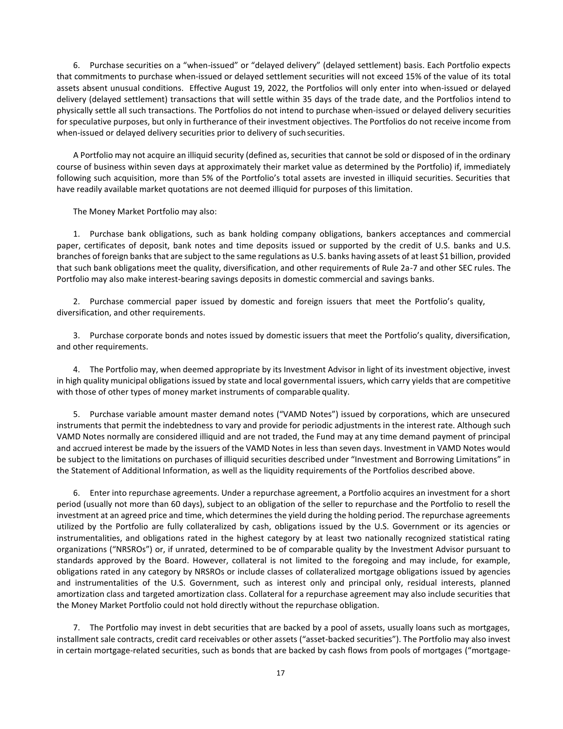6. Purchase securities on a "when-issued" or "delayed delivery" (delayed settlement) basis. Each Portfolio expects that commitments to purchase when-issued or delayed settlement securities will not exceed 15% of the value of its total assets absent unusual conditions. Effective August 19, 2022, the Portfolios will only enter into when-issued or delayed delivery (delayed settlement) transactions that will settle within 35 days of the trade date, and the Portfolios intend to physically settle all such transactions. The Portfolios do not intend to purchase when-issued or delayed delivery securities for speculative purposes, but only in furtherance of their investment objectives. The Portfolios do not receive income from when-issued or delayed delivery securities prior to delivery of such securities.

A Portfolio may not acquire an illiquid security (defined as, securities that cannot be sold or disposed of in the ordinary course of business within seven days at approximately their market value as determined by the Portfolio) if, immediately following such acquisition, more than 5% of the Portfolio's total assets are invested in illiquid securities. Securities that have readily available market quotations are not deemed illiquid for purposes of this limitation.

The Money Market Portfolio may also:

1. Purchase bank obligations, such as bank holding company obligations, bankers acceptances and commercial paper, certificates of deposit, bank notes and time deposits issued or supported by the credit of U.S. banks and U.S. branches of foreign banks that are subject to the same regulations as U.S. banks having assets of at least \$1 billion, provided that such bank obligations meet the quality, diversification, and other requirements of Rule 2a-7 and other SEC rules. The Portfolio may also make interest-bearing savings deposits in domestic commercial and savings banks.

2. Purchase commercial paper issued by domestic and foreign issuers that meet the Portfolio's quality, diversification, and other requirements.

3. Purchase corporate bonds and notes issued by domestic issuers that meet the Portfolio's quality, diversification, and other requirements.

4. The Portfolio may, when deemed appropriate by its Investment Advisor in light of its investment objective, invest in high quality municipal obligations issued by state and local governmental issuers, which carry yields that are competitive with those of other types of money market instruments of comparable quality.

5. Purchase variable amount master demand notes ("VAMD Notes") issued by corporations, which are unsecured instruments that permit the indebtedness to vary and provide for periodic adjustments in the interest rate. Although such VAMD Notes normally are considered illiquid and are not traded, the Fund may at any time demand payment of principal and accrued interest be made by the issuers of the VAMD Notes in less than seven days. Investment in VAMD Notes would be subject to the limitations on purchases of illiquid securities described under "Investment and Borrowing Limitations" in the Statement of Additional Information, as well as the liquidity requirements of the Portfolios described above.

6. Enter into repurchase agreements. Under a repurchase agreement, a Portfolio acquires an investment for a short period (usually not more than 60 days), subject to an obligation of the seller to repurchase and the Portfolio to resell the investment at an agreed price and time, which determines the yield during the holding period. The repurchase agreements utilized by the Portfolio are fully collateralized by cash, obligations issued by the U.S. Government or its agencies or instrumentalities, and obligations rated in the highest category by at least two nationally recognized statistical rating organizations ("NRSROs") or, if unrated, determined to be of comparable quality by the Investment Advisor pursuant to standards approved by the Board. However, collateral is not limited to the foregoing and may include, for example, obligations rated in any category by NRSROs or include classes of collateralized mortgage obligations issued by agencies and instrumentalities of the U.S. Government, such as interest only and principal only, residual interests, planned amortization class and targeted amortization class. Collateral for a repurchase agreement may also include securities that the Money Market Portfolio could not hold directly without the repurchase obligation.

7. The Portfolio may invest in debt securities that are backed by a pool of assets, usually loans such as mortgages, installment sale contracts, credit card receivables or other assets ("asset-backed securities"). The Portfolio may also invest in certain mortgage-related securities, such as bonds that are backed by cash flows from pools of mortgages ("mortgage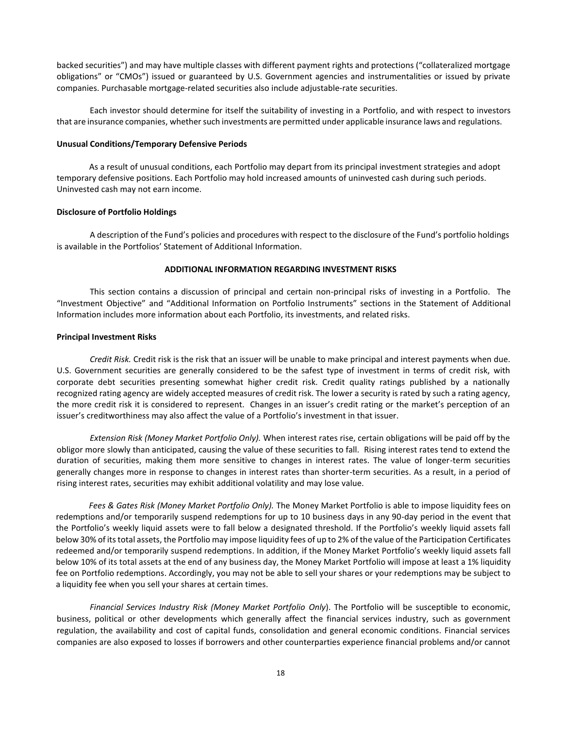backed securities") and may have multiple classes with different payment rights and protections ("collateralized mortgage obligations" or "CMOs") issued or guaranteed by U.S. Government agencies and instrumentalities or issued by private companies. Purchasable mortgage-related securities also include adjustable-rate securities.

Each investor should determine for itself the suitability of investing in a Portfolio, and with respect to investors that are insurance companies, whether such investments are permitted under applicable insurance laws and regulations.

## **Unusual Conditions/Temporary Defensive Periods**

 As a result of unusual conditions, each Portfolio may depart from its principal investment strategies and adopt temporary defensive positions. Each Portfolio may hold increased amounts of uninvested cash during such periods. Uninvested cash may not earn income.

## **Disclosure of Portfolio Holdings**

<span id="page-16-0"></span>A description of the Fund's policies and procedures with respect to the disclosure of the Fund's portfolio holdings is available in the Portfolios' Statement of Additional Information.

# **ADDITIONAL INFORMATION REGARDING INVESTMENT RISKS**

This section contains a discussion of principal and certain non-principal risks of investing in a Portfolio. The "Investment Objective" and "Additional Information on Portfolio Instruments" sections in the Statement of Additional Information includes more information about each Portfolio, its investments, and related risks.

## **Principal Investment Risks**

*Credit Risk.* Credit risk is the risk that an issuer will be unable to make principal and interest payments when due. U.S. Government securities are generally considered to be the safest type of investment in terms of credit risk, with corporate debt securities presenting somewhat higher credit risk. Credit quality ratings published by a nationally recognized rating agency are widely accepted measures of credit risk. The lower a security is rated by such a rating agency, the more credit risk it is considered to represent. Changes in an issuer's credit rating or the market's perception of an issuer's creditworthiness may also affect the value of a Portfolio's investment in that issuer.

*Extension Risk (Money Market Portfolio Only).* When interest rates rise, certain obligations will be paid off by the obligor more slowly than anticipated, causing the value of these securities to fall. Rising interest rates tend to extend the duration of securities, making them more sensitive to changes in interest rates. The value of longer-term securities generally changes more in response to changes in interest rates than shorter-term securities. As a result, in a period of rising interest rates, securities may exhibit additional volatility and may lose value.

*Fees & Gates Risk (Money Market Portfolio Only).* The Money Market Portfolio is able to impose liquidity fees on redemptions and/or temporarily suspend redemptions for up to 10 business days in any 90-day period in the event that the Portfolio's weekly liquid assets were to fall below a designated threshold. If the Portfolio's weekly liquid assets fall below 30% of its total assets, the Portfolio may impose liquidity fees of up to 2% of the value of the Participation Certificates redeemed and/or temporarily suspend redemptions. In addition, if the Money Market Portfolio's weekly liquid assets fall below 10% of its total assets at the end of any business day, the Money Market Portfolio will impose at least a 1% liquidity fee on Portfolio redemptions. Accordingly, you may not be able to sell your shares or your redemptions may be subject to a liquidity fee when you sell your shares at certain times.

*Financial Services Industry Risk (Money Market Portfolio Only*). The Portfolio will be susceptible to economic, business, political or other developments which generally affect the financial services industry, such as government regulation, the availability and cost of capital funds, consolidation and general economic conditions. Financial services companies are also exposed to losses if borrowers and other counterparties experience financial problems and/or cannot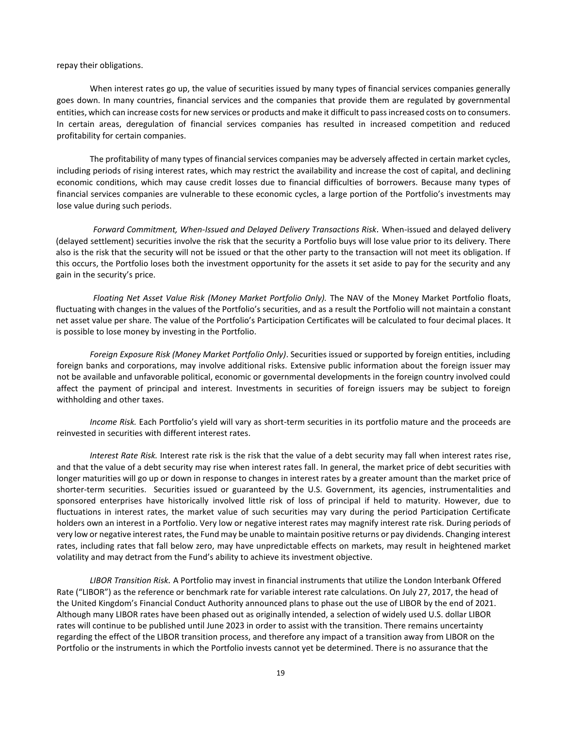repay their obligations.

When interest rates go up, the value of securities issued by many types of financial services companies generally goes down. In many countries, financial services and the companies that provide them are regulated by governmental entities, which can increase costs for new services or products and make it difficult to pass increased costs on to consumers. In certain areas, deregulation of financial services companies has resulted in increased competition and reduced profitability for certain companies.

The profitability of many types of financial services companies may be adversely affected in certain market cycles, including periods of rising interest rates, which may restrict the availability and increase the cost of capital, and declining economic conditions, which may cause credit losses due to financial difficulties of borrowers. Because many types of financial services companies are vulnerable to these economic cycles, a large portion of the Portfolio's investments may lose value during such periods.

*Forward Commitment, When-Issued and Delayed Delivery Transactions Risk.* When-issued and delayed delivery (delayed settlement) securities involve the risk that the security a Portfolio buys will lose value prior to its delivery. There also is the risk that the security will not be issued or that the other party to the transaction will not meet its obligation. If this occurs, the Portfolio loses both the investment opportunity for the assets it set aside to pay for the security and any gain in the security's price.

*Floating Net Asset Value Risk (Money Market Portfolio Only).* The NAV of the Money Market Portfolio floats, fluctuating with changes in the values of the Portfolio's securities, and as a result the Portfolio will not maintain a constant net asset value per share. The value of the Portfolio's Participation Certificates will be calculated to four decimal places. It is possible to lose money by investing in the Portfolio.

*Foreign Exposure Risk (Money Market Portfolio Only)*. Securities issued or supported by foreign entities, including foreign banks and corporations, may involve additional risks. Extensive public information about the foreign issuer may not be available and unfavorable political, economic or governmental developments in the foreign country involved could affect the payment of principal and interest. Investments in securities of foreign issuers may be subject to foreign withholding and other taxes.

*Income Risk.* Each Portfolio's yield will vary as short-term securities in its portfolio mature and the proceeds are reinvested in securities with different interest rates.

*Interest Rate Risk.* Interest rate risk is the risk that the value of a debt security may fall when interest rates rise, and that the value of a debt security may rise when interest rates fall. In general, the market price of debt securities with longer maturities will go up or down in response to changes in interest rates by a greater amount than the market price of shorter-term securities. Securities issued or guaranteed by the U.S. Government, its agencies, instrumentalities and sponsored enterprises have historically involved little risk of loss of principal if held to maturity. However, due to fluctuations in interest rates, the market value of such securities may vary during the period Participation Certificate holders own an interest in a Portfolio. Very low or negative interest rates may magnify interest rate risk. During periods of very low or negative interest rates, the Fund may be unable to maintain positive returns or pay dividends. Changing interest rates, including rates that fall below zero, may have unpredictable effects on markets, may result in heightened market volatility and may detract from the Fund's ability to achieve its investment objective.

*LIBOR Transition Risk.* A Portfolio may invest in financial instruments that utilize the London Interbank Offered Rate ("LIBOR") as the reference or benchmark rate for variable interest rate calculations. On July 27, 2017, the head of the United Kingdom's Financial Conduct Authority announced plans to phase out the use of LIBOR by the end of 2021. Although many LIBOR rates have been phased out as originally intended, a selection of widely used U.S. dollar LIBOR rates will continue to be published until June 2023 in order to assist with the transition. There remains uncertainty regarding the effect of the LIBOR transition process, and therefore any impact of a transition away from LIBOR on the Portfolio or the instruments in which the Portfolio invests cannot yet be determined. There is no assurance that the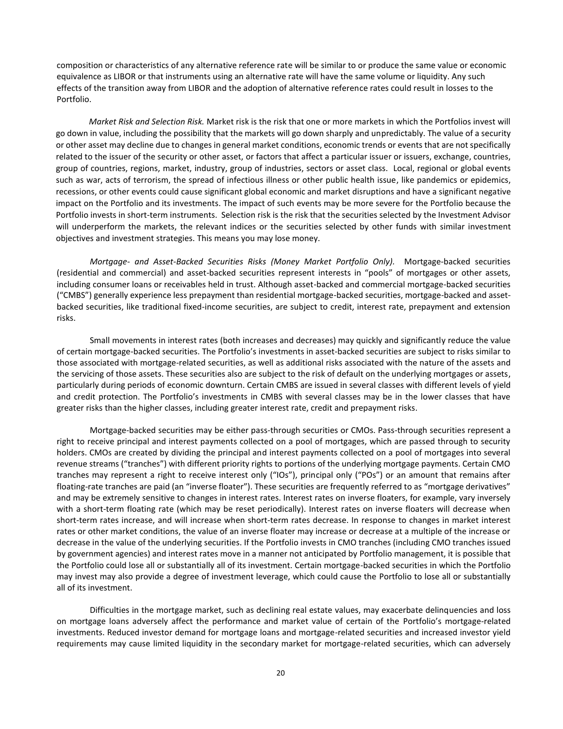composition or characteristics of any alternative reference rate will be similar to or produce the same value or economic equivalence as LIBOR or that instruments using an alternative rate will have the same volume or liquidity. Any such effects of the transition away from LIBOR and the adoption of alternative reference rates could result in losses to the Portfolio.

*Market Risk and Selection Risk.* Market risk is the risk that one or more markets in which the Portfolios invest will go down in value, including the possibility that the markets will go down sharply and unpredictably. The value of a security or other asset may decline due to changes in general market conditions, economic trends or events that are not specifically related to the issuer of the security or other asset, or factors that affect a particular issuer or issuers, exchange, countries, group of countries, regions, market, industry, group of industries, sectors or asset class. Local, regional or global events such as war, acts of terrorism, the spread of infectious illness or other public health issue, like pandemics or epidemics, recessions, or other events could cause significant global economic and market disruptions and have a significant negative impact on the Portfolio and its investments. The impact of such events may be more severe for the Portfolio because the Portfolio invests in short-term instruments. Selection risk is the risk that the securities selected by the Investment Advisor will underperform the markets, the relevant indices or the securities selected by other funds with similar investment objectives and investment strategies. This means you may lose money.

*Mortgage- and Asset-Backed Securities Risks (Money Market Portfolio Only).* Mortgage-backed securities (residential and commercial) and asset-backed securities represent interests in "pools" of mortgages or other assets, including consumer loans or receivables held in trust. Although asset-backed and commercial mortgage-backed securities ("CMBS") generally experience less prepayment than residential mortgage-backed securities, mortgage-backed and assetbacked securities, like traditional fixed-income securities, are subject to credit, interest rate, prepayment and extension risks.

Small movements in interest rates (both increases and decreases) may quickly and significantly reduce the value of certain mortgage-backed securities. The Portfolio's investments in asset-backed securities are subject to risks similar to those associated with mortgage-related securities, as well as additional risks associated with the nature of the assets and the servicing of those assets. These securities also are subject to the risk of default on the underlying mortgages or assets, particularly during periods of economic downturn. Certain CMBS are issued in several classes with different levels of yield and credit protection. The Portfolio's investments in CMBS with several classes may be in the lower classes that have greater risks than the higher classes, including greater interest rate, credit and prepayment risks.

Mortgage-backed securities may be either pass-through securities or CMOs. Pass-through securities represent a right to receive principal and interest payments collected on a pool of mortgages, which are passed through to security holders. CMOs are created by dividing the principal and interest payments collected on a pool of mortgages into several revenue streams ("tranches") with different priority rights to portions of the underlying mortgage payments. Certain CMO tranches may represent a right to receive interest only ("IOs"), principal only ("POs") or an amount that remains after floating-rate tranches are paid (an "inverse floater"). These securities are frequently referred to as "mortgage derivatives" and may be extremely sensitive to changes in interest rates. Interest rates on inverse floaters, for example, vary inversely with a short-term floating rate (which may be reset periodically). Interest rates on inverse floaters will decrease when short-term rates increase, and will increase when short-term rates decrease. In response to changes in market interest rates or other market conditions, the value of an inverse floater may increase or decrease at a multiple of the increase or decrease in the value of the underlying securities. If the Portfolio invests in CMO tranches (including CMO tranches issued by government agencies) and interest rates move in a manner not anticipated by Portfolio management, it is possible that the Portfolio could lose all or substantially all of its investment. Certain mortgage-backed securities in which the Portfolio may invest may also provide a degree of investment leverage, which could cause the Portfolio to lose all or substantially all of its investment.

Difficulties in the mortgage market, such as declining real estate values, may exacerbate delinquencies and loss on mortgage loans adversely affect the performance and market value of certain of the Portfolio's mortgage-related investments. Reduced investor demand for mortgage loans and mortgage-related securities and increased investor yield requirements may cause limited liquidity in the secondary market for mortgage-related securities, which can adversely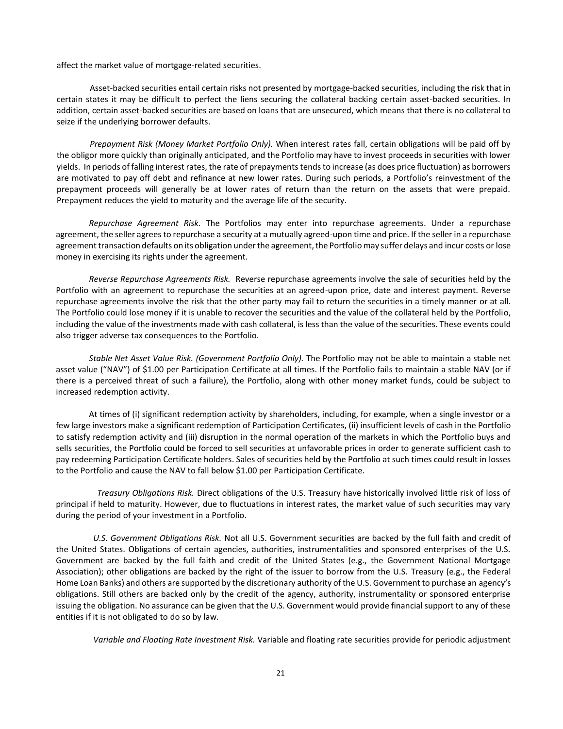affect the market value of mortgage-related securities.

Asset-backed securities entail certain risks not presented by mortgage-backed securities, including the risk that in certain states it may be difficult to perfect the liens securing the collateral backing certain asset-backed securities. In addition, certain asset-backed securities are based on loans that are unsecured, which means that there is no collateral to seize if the underlying borrower defaults.

*Prepayment Risk (Money Market Portfolio Only).* When interest rates fall, certain obligations will be paid off by the obligor more quickly than originally anticipated, and the Portfolio may have to invest proceeds in securities with lower yields. In periods of falling interest rates, the rate of prepayments tends to increase (as does price fluctuation) as borrowers are motivated to pay off debt and refinance at new lower rates. During such periods, a Portfolio's reinvestment of the prepayment proceeds will generally be at lower rates of return than the return on the assets that were prepaid. Prepayment reduces the yield to maturity and the average life of the security.

*Repurchase Agreement Risk.* The Portfolios may enter into repurchase agreements. Under a repurchase agreement, the seller agrees to repurchase a security at a mutually agreed-upon time and price. If the seller in a repurchase agreement transaction defaults on its obligation under the agreement, the Portfolio may suffer delays and incur costs or lose money in exercising its rights under the agreement.

*Reverse Repurchase Agreements Risk.* Reverse repurchase agreements involve the sale of securities held by the Portfolio with an agreement to repurchase the securities at an agreed-upon price, date and interest payment. Reverse repurchase agreements involve the risk that the other party may fail to return the securities in a timely manner or at all. The Portfolio could lose money if it is unable to recover the securities and the value of the collateral held by the Portfolio, including the value of the investments made with cash collateral, is less than the value of the securities. These events could also trigger adverse tax consequences to the Portfolio.

*Stable Net Asset Value Risk. (Government Portfolio Only).* The Portfolio may not be able to maintain a stable net asset value ("NAV") of \$1.00 per Participation Certificate at all times. If the Portfolio fails to maintain a stable NAV (or if there is a perceived threat of such a failure), the Portfolio, along with other money market funds, could be subject to increased redemption activity.

At times of (i) significant redemption activity by shareholders, including, for example, when a single investor or a few large investors make a significant redemption of Participation Certificates, (ii) insufficient levels of cash in the Portfolio to satisfy redemption activity and (iii) disruption in the normal operation of the markets in which the Portfolio buys and sells securities, the Portfolio could be forced to sell securities at unfavorable prices in order to generate sufficient cash to pay redeeming Participation Certificate holders. Sales of securities held by the Portfolio at such times could result in losses to the Portfolio and cause the NAV to fall below \$1.00 per Participation Certificate.

*Treasury Obligations Risk.* Direct obligations of the U.S. Treasury have historically involved little risk of loss of principal if held to maturity. However, due to fluctuations in interest rates, the market value of such securities may vary during the period of your investment in a Portfolio.

*U.S. Government Obligations Risk.* Not all U.S. Government securities are backed by the full faith and credit of the United States. Obligations of certain agencies, authorities, instrumentalities and sponsored enterprises of the U.S. Government are backed by the full faith and credit of the United States (e.g., the Government National Mortgage Association); other obligations are backed by the right of the issuer to borrow from the U.S. Treasury (e.g., the Federal Home Loan Banks) and others are supported by the discretionary authority of the U.S. Government to purchase an agency's obligations. Still others are backed only by the credit of the agency, authority, instrumentality or sponsored enterprise issuing the obligation. No assurance can be given that the U.S. Government would provide financial support to any of these entities if it is not obligated to do so by law.

*Variable and Floating Rate Investment Risk.* Variable and floating rate securities provide for periodic adjustment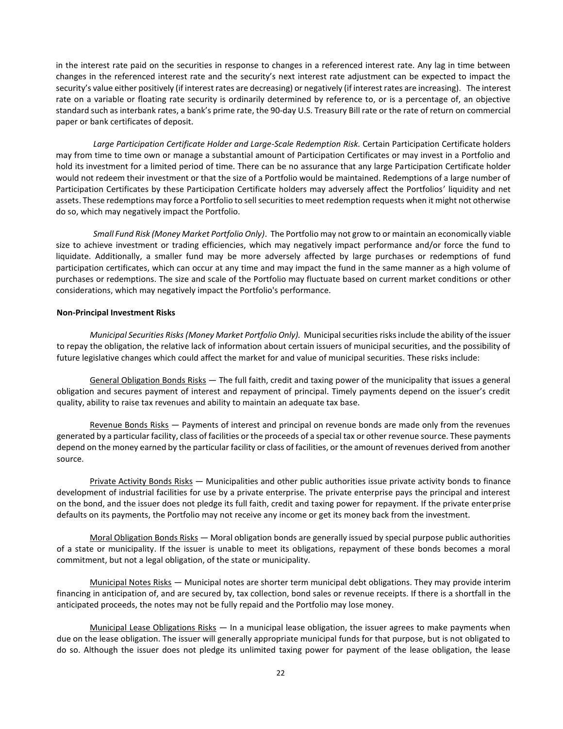in the interest rate paid on the securities in response to changes in a referenced interest rate. Any lag in time between changes in the referenced interest rate and the security's next interest rate adjustment can be expected to impact the security's value either positively (if interest rates are decreasing) or negatively (if interest rates are increasing). The interest rate on a variable or floating rate security is ordinarily determined by reference to, or is a percentage of, an objective standard such as interbank rates, a bank's prime rate, the 90-day U.S. Treasury Bill rate or the rate of return on commercial paper or bank certificates of deposit.

*Large Participation Certificate Holder and Large-Scale Redemption Risk.* Certain Participation Certificate holders may from time to time own or manage a substantial amount of Participation Certificates or may invest in a Portfolio and hold its investment for a limited period of time. There can be no assurance that any large Participation Certificate holder would not redeem their investment or that the size of a Portfolio would be maintained. Redemptions of a large number of Participation Certificates by these Participation Certificate holders may adversely affect the Portfolios' liquidity and net assets. These redemptions may force a Portfolio to sell securities to meet redemption requests when it might not otherwise do so, which may negatively impact the Portfolio.

*Small Fund Risk (Money Market Portfolio Only)*. The Portfolio may not grow to or maintain an economically viable size to achieve investment or trading efficiencies, which may negatively impact performance and/or force the fund to liquidate. Additionally, a smaller fund may be more adversely affected by large purchases or redemptions of fund participation certificates, which can occur at any time and may impact the fund in the same manner as a high volume of purchases or redemptions. The size and scale of the Portfolio may fluctuate based on current market conditions or other considerations, which may negatively impact the Portfolio's performance.

## **Non-Principal Investment Risks**

*Municipal Securities Risks(Money Market Portfolio Only).* Municipal securities risks include the ability of the issuer to repay the obligation, the relative lack of information about certain issuers of municipal securities, and the possibility of future legislative changes which could affect the market for and value of municipal securities. These risks include:

General Obligation Bonds Risks — The full faith, credit and taxing power of the municipality that issues a general obligation and secures payment of interest and repayment of principal. Timely payments depend on the issuer's credit quality, ability to raise tax revenues and ability to maintain an adequate tax base.

Revenue Bonds Risks — Payments of interest and principal on revenue bonds are made only from the revenues generated by a particular facility, class of facilities or the proceeds of a special tax or other revenue source. These payments depend on the money earned by the particular facility or class of facilities, or the amount of revenues derived from another source.

Private Activity Bonds Risks - Municipalities and other public authorities issue private activity bonds to finance development of industrial facilities for use by a private enterprise. The private enterprise pays the principal and interest on the bond, and the issuer does not pledge its full faith, credit and taxing power for repayment. If the private enterprise defaults on its payments, the Portfolio may not receive any income or get its money back from the investment.

Moral Obligation Bonds Risks — Moral obligation bonds are generally issued by special purpose public authorities of a state or municipality. If the issuer is unable to meet its obligations, repayment of these bonds becomes a moral commitment, but not a legal obligation, of the state or municipality.

Municipal Notes Risks — Municipal notes are shorter term municipal debt obligations. They may provide interim financing in anticipation of, and are secured by, tax collection, bond sales or revenue receipts. If there is a shortfall in the anticipated proceeds, the notes may not be fully repaid and the Portfolio may lose money.

Municipal Lease Obligations Risks  $-$  In a municipal lease obligation, the issuer agrees to make payments when due on the lease obligation. The issuer will generally appropriate municipal funds for that purpose, but is not obligated to do so. Although the issuer does not pledge its unlimited taxing power for payment of the lease obligation, the lease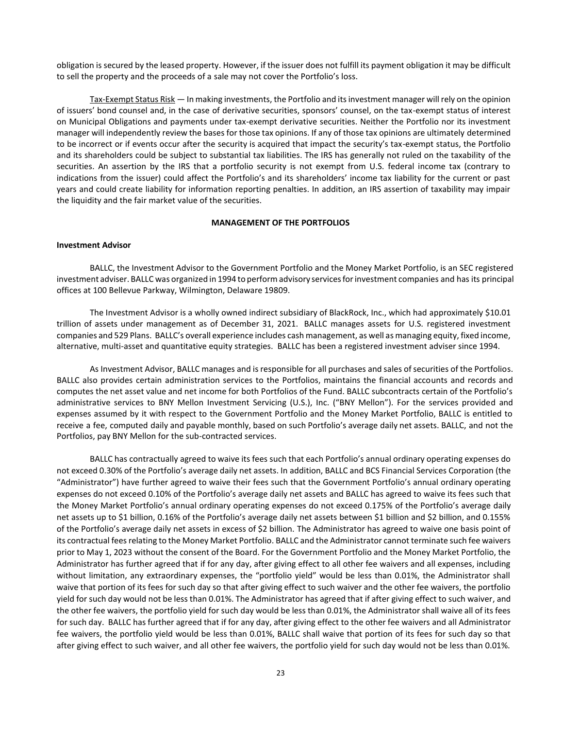obligation is secured by the leased property. However, if the issuer does not fulfill its payment obligation it may be difficult to sell the property and the proceeds of a sale may not cover the Portfolio's loss.

Tax-Exempt Status Risk — In making investments, the Portfolio and its investment manager will rely on the opinion of issuers' bond counsel and, in the case of derivative securities, sponsors' counsel, on the tax-exempt status of interest on Municipal Obligations and payments under tax-exempt derivative securities. Neither the Portfolio nor its investment manager will independently review the bases for those tax opinions. If any of those tax opinions are ultimately determined to be incorrect or if events occur after the security is acquired that impact the security's tax-exempt status, the Portfolio and its shareholders could be subject to substantial tax liabilities. The IRS has generally not ruled on the taxability of the securities. An assertion by the IRS that a portfolio security is not exempt from U.S. federal income tax (contrary to indications from the issuer) could affect the Portfolio's and its shareholders' income tax liability for the current or past years and could create liability for information reporting penalties. In addition, an IRS assertion of taxability may impair the liquidity and the fair market value of the securities.

#### **MANAGEMENT OF THE PORTFOLIOS**

#### <span id="page-21-0"></span>**Investment Advisor**

BALLC, the Investment Advisor to the Government Portfolio and the Money Market Portfolio, is an SEC registered investment adviser. BALLC was organized in 1994 to performadvisory servicesforinvestment companies and has its principal offices at 100 Bellevue Parkway, Wilmington, Delaware 19809.

The Investment Advisor is a wholly owned indirect subsidiary of BlackRock, Inc., which had approximately \$10.01 trillion of assets under management as of December 31, 2021. BALLC manages assets for U.S. registered investment companies and 529 Plans. BALLC's overall experience includes cash management, as well as managing equity, fixed income, alternative, multi-asset and quantitative equity strategies. BALLC has been a registered investment adviser since 1994.

As Investment Advisor, BALLC manages and is responsible for all purchases and sales of securities of the Portfolios. BALLC also provides certain administration services to the Portfolios, maintains the financial accounts and records and computes the net asset value and net income for both Portfolios of the Fund. BALLC subcontracts certain of the Portfolio's administrative services to BNY Mellon Investment Servicing (U.S.), Inc. ("BNY Mellon"). For the services provided and expenses assumed by it with respect to the Government Portfolio and the Money Market Portfolio, BALLC is entitled to receive a fee, computed daily and payable monthly, based on such Portfolio's average daily net assets. BALLC, and not the Portfolios, pay BNY Mellon for the sub-contracted services.

BALLC has contractually agreed to waive its fees such that each Portfolio's annual ordinary operating expenses do not exceed 0.30% of the Portfolio's average daily net assets. In addition, BALLC and BCS Financial Services Corporation (the "Administrator") have further agreed to waive their fees such that the Government Portfolio's annual ordinary operating expenses do not exceed 0.10% of the Portfolio's average daily net assets and BALLC has agreed to waive its fees such that the Money Market Portfolio's annual ordinary operating expenses do not exceed 0.175% of the Portfolio's average daily net assets up to \$1 billion, 0.16% of the Portfolio's average daily net assets between \$1 billion and \$2 billion, and 0.155% of the Portfolio's average daily net assets in excess of \$2 billion. The Administrator has agreed to waive one basis point of its contractual fees relating to the Money Market Portfolio. BALLC and the Administrator cannot terminate such fee waivers prior to May 1, 2023 without the consent of the Board. For the Government Portfolio and the Money Market Portfolio, the Administrator has further agreed that if for any day, after giving effect to all other fee waivers and all expenses, including without limitation, any extraordinary expenses, the "portfolio yield" would be less than 0.01%, the Administrator shall waive that portion of its fees for such day so that after giving effect to such waiver and the other fee waivers, the portfolio yield for such day would not be less than 0.01%. The Administrator has agreed that if after giving effect to such waiver, and the other fee waivers, the portfolio yield for such day would be less than 0.01%, the Administrator shall waive all of its fees for such day. BALLC has further agreed that if for any day, after giving effect to the other fee waivers and all Administrator fee waivers, the portfolio yield would be less than 0.01%, BALLC shall waive that portion of its fees for such day so that after giving effect to such waiver, and all other fee waivers, the portfolio yield for such day would not be less than 0.01%.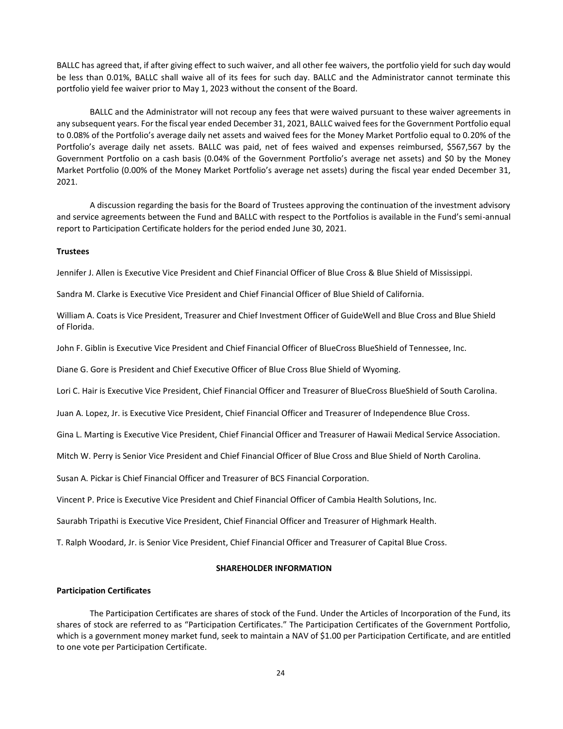BALLC has agreed that, if after giving effect to such waiver, and all other fee waivers, the portfolio yield for such day would be less than 0.01%, BALLC shall waive all of its fees for such day. BALLC and the Administrator cannot terminate this portfolio yield fee waiver prior to May 1, 2023 without the consent of the Board.

BALLC and the Administrator will not recoup any fees that were waived pursuant to these waiver agreements in any subsequent years. For the fiscal year ended December 31, 2021, BALLC waived fees for the Government Portfolio equal to 0.08% of the Portfolio's average daily net assets and waived fees for the Money Market Portfolio equal to 0.20% of the Portfolio's average daily net assets. BALLC was paid, net of fees waived and expenses reimbursed, \$567,567 by the Government Portfolio on a cash basis (0.04% of the Government Portfolio's average net assets) and \$0 by the Money Market Portfolio (0.00% of the Money Market Portfolio's average net assets) during the fiscal year ended December 31, 2021.

A discussion regarding the basis for the Board of Trustees approving the continuation of the investment advisory and service agreements between the Fund and BALLC with respect to the Portfolios is available in the Fund's semi-annual report to Participation Certificate holders for the period ended June 30, 2021.

## **Trustees**

Jennifer J. Allen is Executive Vice President and Chief Financial Officer of Blue Cross & Blue Shield of Mississippi.

Sandra M. Clarke is Executive Vice President and Chief Financial Officer of Blue Shield of California.

William A. Coats is Vice President, Treasurer and Chief Investment Officer of GuideWell and Blue Cross and Blue Shield of Florida.

John F. Giblin is Executive Vice President and Chief Financial Officer of BlueCross BlueShield of Tennessee, Inc.

Diane G. Gore is President and Chief Executive Officer of Blue Cross Blue Shield of Wyoming.

Lori C. Hair is Executive Vice President, Chief Financial Officer and Treasurer of BlueCross BlueShield of South Carolina.

Juan A. Lopez, Jr. is Executive Vice President, Chief Financial Officer and Treasurer of Independence Blue Cross.

Gina L. Marting is Executive Vice President, Chief Financial Officer and Treasurer of Hawaii Medical Service Association.

Mitch W. Perry is Senior Vice President and Chief Financial Officer of Blue Cross and Blue Shield of North Carolina.

Susan A. Pickar is Chief Financial Officer and Treasurer of BCS Financial Corporation.

Vincent P. Price is Executive Vice President and Chief Financial Officer of Cambia Health Solutions, Inc.

Saurabh Tripathi is Executive Vice President, Chief Financial Officer and Treasurer of Highmark Health.

T. Ralph Woodard, Jr. is Senior Vice President, Chief Financial Officer and Treasurer of Capital Blue Cross.

#### <span id="page-22-1"></span>**SHAREHOLDER INFORMATION**

#### <span id="page-22-0"></span>**Participation Certificates**

The Participation Certificates are shares of stock of the Fund. Under the Articles of Incorporation of the Fund, its shares of stock are referred to as "Participation Certificates." The Participation Certificates of the Government Portfolio, which is a government money market fund, seek to maintain a NAV of \$1.00 per Participation Certificate, and are entitled to one vote per Participation Certificate.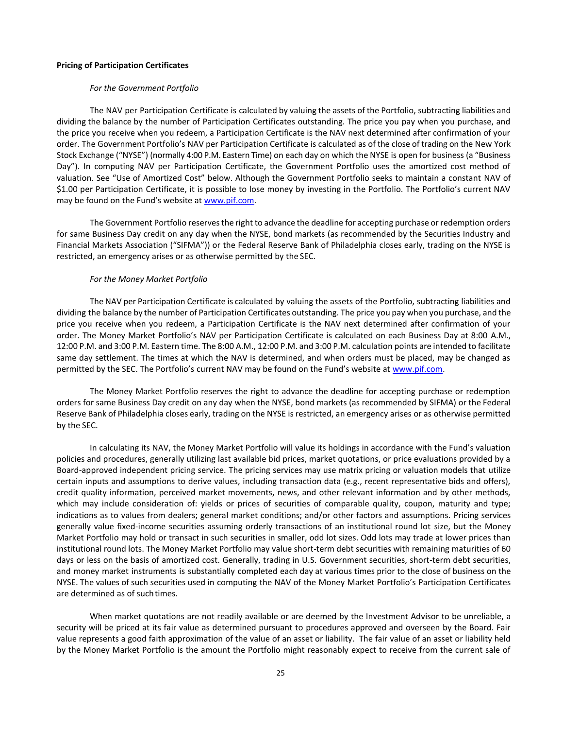#### <span id="page-23-0"></span>**Pricing of Participation Certificates**

#### *For the Government Portfolio*

The NAV per Participation Certificate is calculated by valuing the assets of the Portfolio, subtracting liabilities and dividing the balance by the number of Participation Certificates outstanding. The price you pay when you purchase, and the price you receive when you redeem, a Participation Certificate is the NAV next determined after confirmation of your order. The Government Portfolio's NAV per Participation Certificate is calculated as of the close of trading on the New York Stock Exchange ("NYSE") (normally 4:00 P.M. Eastern Time) on each day on which the NYSE is open for business (a "Business Day"). In computing NAV per Participation Certificate, the Government Portfolio uses the amortized cost method of valuation. See "Use of Amortized Cost" below. Although the Government Portfolio seeks to maintain a constant NAV of \$1.00 per Participation Certificate, it is possible to lose money by investing in the Portfolio. The Portfolio's current NAV may be found on the Fund's website at [www.pif.com.](http://www.pif.com/)

The Government Portfolio reserves the right to advance the deadline for accepting purchase or redemption orders for same Business Day credit on any day when the NYSE, bond markets (as recommended by the Securities Industry and Financial Markets Association ("SIFMA")) or the Federal Reserve Bank of Philadelphia closes early, trading on the NYSE is restricted, an emergency arises or as otherwise permitted by the SEC.

#### *For the Money Market Portfolio*

The NAV per Participation Certificate is calculated by valuing the assets of the Portfolio, subtracting liabilities and dividing the balance by the number of Participation Certificates outstanding. The price you pay when you purchase, and the price you receive when you redeem, a Participation Certificate is the NAV next determined after confirmation of your order. The Money Market Portfolio's NAV per Participation Certificate is calculated on each Business Day at 8:00 A.M., 12:00 P.M. and 3:00 P.M. Eastern time. The 8:00 A.M., 12:00 P.M. and 3:00 P.M. calculation points are intended to facilitate same day settlement. The times at which the NAV is determined, and when orders must be placed, may be changed as permitted by the SEC. The Portfolio's current NAV may be found on the Fund's website at [www.pif.com.](http://www.pif.com/)

The Money Market Portfolio reserves the right to advance the deadline for accepting purchase or redemption orders for same Business Day credit on any day when the NYSE, bond markets (as recommended by SIFMA) or the Federal Reserve Bank of Philadelphia closes early, trading on the NYSE is restricted, an emergency arises or as otherwise permitted by the SEC.

In calculating its NAV, the Money Market Portfolio will value its holdings in accordance with the Fund's valuation policies and procedures, generally utilizing last available bid prices, market quotations, or price evaluations provided by a Board-approved independent pricing service. The pricing services may use matrix pricing or valuation models that utilize certain inputs and assumptions to derive values, including transaction data (e.g., recent representative bids and offers), credit quality information, perceived market movements, news, and other relevant information and by other methods, which may include consideration of: yields or prices of securities of comparable quality, coupon, maturity and type; indications as to values from dealers; general market conditions; and/or other factors and assumptions. Pricing services generally value fixed-income securities assuming orderly transactions of an institutional round lot size, but the Money Market Portfolio may hold or transact in such securities in smaller, odd lot sizes. Odd lots may trade at lower prices than institutional round lots. The Money Market Portfolio may value short-term debt securities with remaining maturities of 60 days or less on the basis of amortized cost. Generally, trading in U.S. Government securities, short-term debt securities, and money market instruments is substantially completed each day at various times prior to the close of business on the NYSE. The values of such securities used in computing the NAV of the Money Market Portfolio's Participation Certificates are determined as of suchtimes.

When market quotations are not readily available or are deemed by the Investment Advisor to be unreliable, a security will be priced at its fair value as determined pursuant to procedures approved and overseen by the Board. Fair value represents a good faith approximation of the value of an asset or liability. The fair value of an asset or liability held by the Money Market Portfolio is the amount the Portfolio might reasonably expect to receive from the current sale of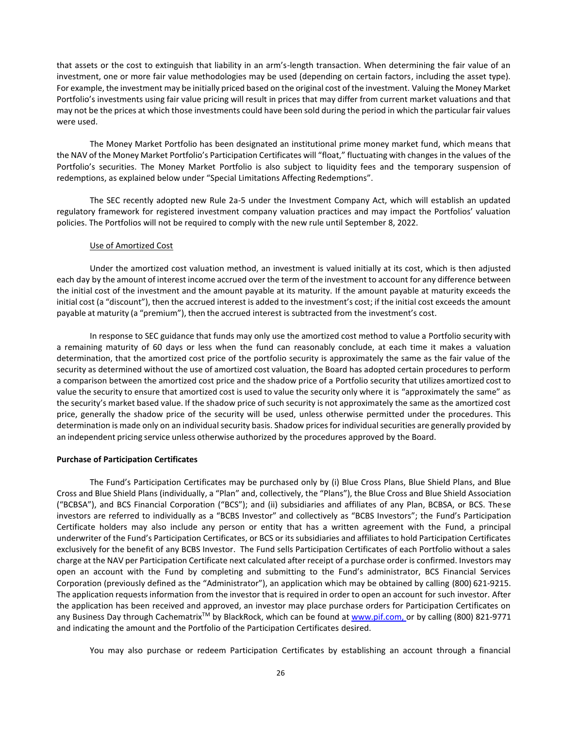that assets or the cost to extinguish that liability in an arm's-length transaction. When determining the fair value of an investment, one or more fair value methodologies may be used (depending on certain factors, including the asset type). For example, the investment may be initially priced based on the original cost of the investment. Valuing the Money Market Portfolio's investments using fair value pricing will result in prices that may differ from current market valuations and that may not be the prices at which those investments could have been sold during the period in which the particular fair values were used.

The Money Market Portfolio has been designated an institutional prime money market fund, which means that the NAV of the Money Market Portfolio's Participation Certificates will "float," fluctuating with changes in the values of the Portfolio's securities. The Money Market Portfolio is also subject to liquidity fees and the temporary suspension of redemptions, as explained below under "Special Limitations Affecting Redemptions".

The SEC recently adopted new Rule 2a-5 under the Investment Company Act, which will establish an updated regulatory framework for registered investment company valuation practices and may impact the Portfolios' valuation policies. The Portfolios will not be required to comply with the new rule until September 8, 2022.

## Use of Amortized Cost

Under the amortized cost valuation method, an investment is valued initially at its cost, which is then adjusted each day by the amount of interest income accrued over the term of the investment to account for any difference between the initial cost of the investment and the amount payable at its maturity. If the amount payable at maturity exceeds the initial cost (a "discount"), then the accrued interest is added to the investment's cost; if the initial cost exceeds the amount payable at maturity (a "premium"), then the accrued interest is subtracted from the investment's cost.

In response to SEC guidance that funds may only use the amortized cost method to value a Portfolio security with a remaining maturity of 60 days or less when the fund can reasonably conclude, at each time it makes a valuation determination, that the amortized cost price of the portfolio security is approximately the same as the fair value of the security as determined without the use of amortized cost valuation, the Board has adopted certain procedures to perform a comparison between the amortized cost price and the shadow price of a Portfolio security that utilizes amortized cost to value the security to ensure that amortized cost is used to value the security only where it is "approximately the same" as the security's market based value. If the shadow price of such security is not approximately the same as the amortized cost price, generally the shadow price of the security will be used, unless otherwise permitted under the procedures. This determination is made only on an individual security basis. Shadow prices for individual securities are generally provided by an independent pricing service unless otherwise authorized by the procedures approved by the Board.

## <span id="page-24-0"></span>**Purchase of Participation Certificates**

The Fund's Participation Certificates may be purchased only by (i) Blue Cross Plans, Blue Shield Plans, and Blue Cross and Blue Shield Plans (individually, a "Plan" and, collectively, the "Plans"), the Blue Cross and Blue Shield Association ("BCBSA"), and BCS Financial Corporation ("BCS"); and (ii) subsidiaries and affiliates of any Plan, BCBSA, or BCS. These investors are referred to individually as a "BCBS Investor" and collectively as "BCBS Investors"; the Fund's Participation Certificate holders may also include any person or entity that has a written agreement with the Fund, a principal underwriter of the Fund's Participation Certificates, or BCS or its subsidiaries and affiliates to hold Participation Certificates exclusively for the benefit of any BCBS Investor. The Fund sells Participation Certificates of each Portfolio without a sales charge at the NAV per Participation Certificate next calculated after receipt of a purchase order is confirmed. Investors may open an account with the Fund by completing and submitting to the Fund's administrator, BCS Financial Services Corporation (previously defined as the "Administrator"), an application which may be obtained by calling (800) 621-9215. The application requests information from the investor that is required in order to open an account for such investor. After the application has been received and approved, an investor may place purchase orders for Participation Certificates on any Business Day through Cachematrix<sup>TM</sup> by BlackRock, which can be found at www.pif.com, or by calling (800) 821-9771 and indicating the amount and the Portfolio of the Participation Certificates desired.

You may also purchase or redeem Participation Certificates by establishing an account through a financial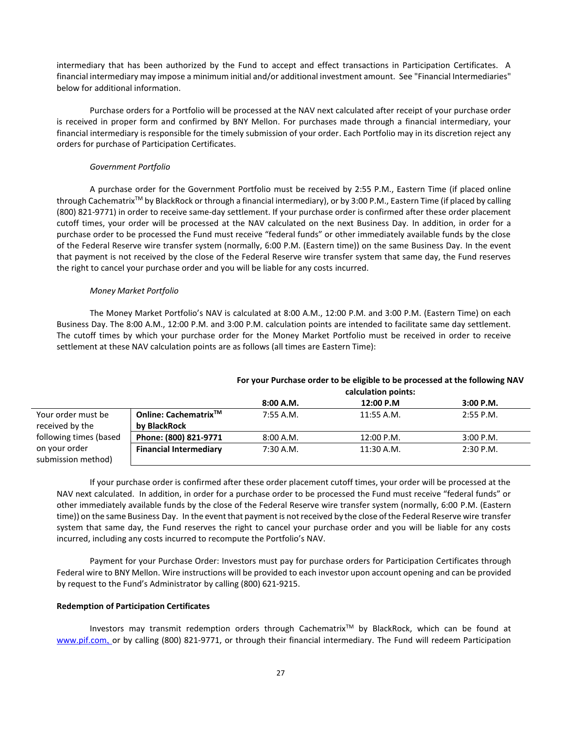intermediary that has been authorized by the Fund to accept and effect transactions in Participation Certificates. A financial intermediary may impose a minimum initial and/or additional investment amount. See "Financial Intermediaries" below for additional information.

Purchase orders for a Portfolio will be processed at the NAV next calculated after receipt of your purchase order is received in proper form and confirmed by BNY Mellon. For purchases made through a financial intermediary, your financial intermediary is responsible for the timely submission of your order. Each Portfolio may in its discretion reject any orders for purchase of Participation Certificates.

# *Government Portfolio*

A purchase order for the Government Portfolio must be received by 2:55 P.M., Eastern Time (if placed online through Cachematrix™ by BlackRock or through a financial intermediary), or by 3:00 P.M., Eastern Time (if placed by calling (800) 821-9771) in order to receive same-day settlement. If your purchase order is confirmed after these order placement cutoff times, your order will be processed at the NAV calculated on the next Business Day. In addition, in order for a purchase order to be processed the Fund must receive "federal funds" or other immediately available funds by the close of the Federal Reserve wire transfer system (normally, 6:00 P.M. (Eastern time)) on the same Business Day. In the event that payment is not received by the close of the Federal Reserve wire transfer system that same day, the Fund reserves the right to cancel your purchase order and you will be liable for any costs incurred.

## *Money Market Portfolio*

The Money Market Portfolio's NAV is calculated at 8:00 A.M., 12:00 P.M. and 3:00 P.M. (Eastern Time) on each Business Day. The 8:00 A.M., 12:00 P.M. and 3:00 P.M. calculation points are intended to facilitate same day settlement. The cutoff times by which your purchase order for the Money Market Portfolio must be received in order to receive settlement at these NAV calculation points are as follows (all times are Eastern Time):

| For your Purchase order to be eligible to be processed at the following NAV |
|-----------------------------------------------------------------------------|
| calculation points:                                                         |

|                        |                                        |           | Calculation politics. |             |
|------------------------|----------------------------------------|-----------|-----------------------|-------------|
|                        |                                        | 8:00 A.M. | 12:00 P.M             | $3:00$ P.M. |
| Your order must be     | <b>Online: Cachematrix<sup>™</sup></b> | 7:55 A.M. | 11:55 A.M.            | $2:55$ P.M. |
| received by the        | by BlackRock                           |           |                       |             |
| following times (based | Phone: (800) 821-9771                  | 8:00 A.M. | 12:00 P.M.            | $3:00$ P.M. |
| on your order          | <b>Financial Intermediary</b>          | 7:30 A.M. | 11:30 A.M.            | $2:30$ P.M. |
| submission method)     |                                        |           |                       |             |

If your purchase order is confirmed after these order placement cutoff times, your order will be processed at the NAV next calculated. In addition, in order for a purchase order to be processed the Fund must receive "federal funds" or other immediately available funds by the close of the Federal Reserve wire transfer system (normally, 6:00 P.M. (Eastern time)) on the same Business Day. In the event that payment is not received by the close of the Federal Reserve wire transfer system that same day, the Fund reserves the right to cancel your purchase order and you will be liable for any costs incurred, including any costs incurred to recompute the Portfolio's NAV.

Payment for your Purchase Order: Investors must pay for purchase orders for Participation Certificates through Federal wire to BNY Mellon. Wire instructions will be provided to each investor upon account opening and can be provided by request to the Fund's Administrator by calling (800) 621-9215.

## <span id="page-25-0"></span>**Redemption of Participation Certificates**

Investors may transmit redemption orders through Cachematrix<sup>™</sup> by BlackRock, which can be found at www.pif.com, or by calling (800) 821-9771, or through their financial intermediary. The Fund will redeem Participation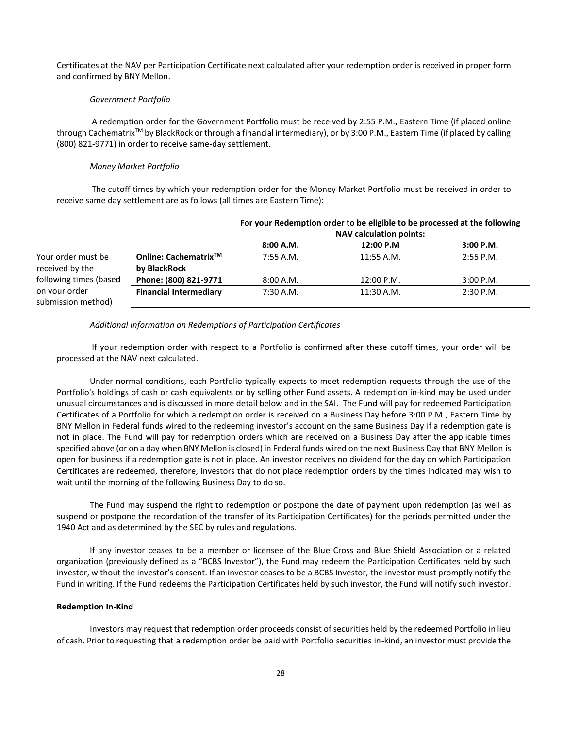Certificates at the NAV per Participation Certificate next calculated after your redemption order is received in proper form and confirmed by BNY Mellon.

## *Government Portfolio*

A redemption order for the Government Portfolio must be received by 2:55 P.M., Eastern Time (if placed online through Cachematrix<sup>TM</sup> by BlackRock or through a financial intermediary), or by 3:00 P.M., Eastern Time (if placed by calling (800) 821-9771) in order to receive same-day settlement.

## *Money Market Portfolio*

The cutoff times by which your redemption order for the Money Market Portfolio must be received in order to receive same day settlement are as follows (all times are Eastern Time):

|                                     |                                        |             | For your Redemption order to be eligible to be processed at the following<br><b>NAV calculation points:</b> |             |
|-------------------------------------|----------------------------------------|-------------|-------------------------------------------------------------------------------------------------------------|-------------|
|                                     |                                        | 8:00 A.M.   | 12:00 P.M                                                                                                   | $3:00$ P.M. |
| Your order must be                  | <b>Online: Cachematrix<sup>™</sup></b> | 7:55A.M.    | 11:55 A.M.                                                                                                  | $2:55$ P.M. |
| received by the                     | by BlackRock                           |             |                                                                                                             |             |
| following times (based              | Phone: (800) 821-9771                  | 8:00 A.M.   | 12:00 P.M.                                                                                                  | $3:00$ P.M. |
| on your order<br>submission method) | <b>Financial Intermediary</b>          | $7:30$ A.M. | 11:30 A.M.                                                                                                  | $2:30$ P.M. |

## *Additional Information on Redemptions of Participation Certificates*

If your redemption order with respect to a Portfolio is confirmed after these cutoff times, your order will be processed at the NAV next calculated.

Under normal conditions, each Portfolio typically expects to meet redemption requests through the use of the Portfolio's holdings of cash or cash equivalents or by selling other Fund assets. A redemption in-kind may be used under unusual circumstances and is discussed in more detail below and in the SAI. The Fund will pay for redeemed Participation Certificates of a Portfolio for which a redemption order is received on a Business Day before 3:00 P.M., Eastern Time by BNY Mellon in Federal funds wired to the redeeming investor's account on the same Business Day if a redemption gate is not in place. The Fund will pay for redemption orders which are received on a Business Day after the applicable times specified above (or on a day when BNY Mellon is closed) in Federal funds wired on the next Business Day that BNY Mellon is open for business if a redemption gate is not in place. An investor receives no dividend for the day on which Participation Certificates are redeemed, therefore, investors that do not place redemption orders by the times indicated may wish to wait until the morning of the following Business Day to do so.

The Fund may suspend the right to redemption or postpone the date of payment upon redemption (as well as suspend or postpone the recordation of the transfer of its Participation Certificates) for the periods permitted under the 1940 Act and as determined by the SEC by rules and regulations.

If any investor ceases to be a member or licensee of the Blue Cross and Blue Shield Association or a related organization (previously defined as a "BCBS Investor"), the Fund may redeem the Participation Certificates held by such investor, without the investor's consent. If an investor ceases to be a BCBS Investor, the investor must promptly notify the Fund in writing. If the Fund redeems the Participation Certificates held by such investor, the Fund will notify such investor.

## <span id="page-26-0"></span>**Redemption In-Kind**

Investors may request that redemption order proceeds consist of securities held by the redeemed Portfolio in lieu of cash. Prior to requesting that a redemption order be paid with Portfolio securities in-kind, an investor must provide the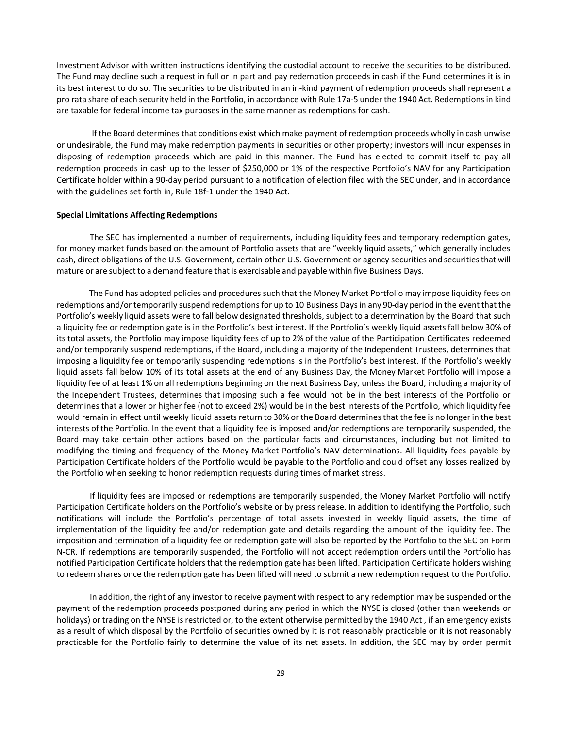Investment Advisor with written instructions identifying the custodial account to receive the securities to be distributed. The Fund may decline such a request in full or in part and pay redemption proceeds in cash if the Fund determines it is in its best interest to do so. The securities to be distributed in an in-kind payment of redemption proceeds shall represent a pro rata share of each security held in the Portfolio, in accordance with Rule 17a-5 under the 1940 Act. Redemptionsin kind are taxable for federal income tax purposes in the same manner as redemptions for cash.

If the Board determines that conditions exist which make payment of redemption proceeds wholly in cash unwise or undesirable, the Fund may make redemption payments in securities or other property; investors will incur expenses in disposing of redemption proceeds which are paid in this manner. The Fund has elected to commit itself to pay all redemption proceeds in cash up to the lesser of \$250,000 or 1% of the respective Portfolio's NAV for any Participation Certificate holder within a 90-day period pursuant to a notification of election filed with the SEC under, and in accordance with the guidelines set forth in, Rule 18f-1 under the 1940 Act.

#### <span id="page-27-0"></span>**Special Limitations Affecting Redemptions**

The SEC has implemented a number of requirements, including liquidity fees and temporary redemption gates, for money market funds based on the amount of Portfolio assets that are "weekly liquid assets," which generally includes cash, direct obligations of the U.S. Government, certain other U.S. Government or agency securities and securitiesthat will mature or are subject to a demand feature that is exercisable and payable within five Business Days.

 The Fund has adopted policies and procedures such that the Money Market Portfolio may impose liquidity fees on redemptions and/or temporarily suspend redemptionsfor up to 10 Business Daysin any 90-day period in the event that the Portfolio's weekly liquid assets were to fall below designated thresholds, subject to a determination by the Board that such a liquidity fee or redemption gate is in the Portfolio's best interest. If the Portfolio's weekly liquid assets fall below 30% of its total assets, the Portfolio may impose liquidity fees of up to 2% of the value of the Participation Certificates redeemed and/or temporarily suspend redemptions, if the Board, including a majority of the Independent Trustees, determines that imposing a liquidity fee or temporarily suspending redemptions is in the Portfolio's best interest. If the Portfolio's weekly liquid assets fall below 10% of its total assets at the end of any Business Day, the Money Market Portfolio will impose a liquidity fee of at least 1% on all redemptions beginning on the next Business Day, unless the Board, including a majority of the Independent Trustees, determines that imposing such a fee would not be in the best interests of the Portfolio or determines that a lower or higher fee (not to exceed 2%) would be in the best interests of the Portfolio, which liquidity fee would remain in effect until weekly liquid assets return to 30% or the Board determines that the fee is no longer in the best interests of the Portfolio. In the event that a liquidity fee is imposed and/or redemptions are temporarily suspended, the Board may take certain other actions based on the particular facts and circumstances, including but not limited to modifying the timing and frequency of the Money Market Portfolio's NAV determinations. All liquidity fees payable by Participation Certificate holders of the Portfolio would be payable to the Portfolio and could offset any losses realized by the Portfolio when seeking to honor redemption requests during times of market stress.

If liquidity fees are imposed or redemptions are temporarily suspended, the Money Market Portfolio will notify Participation Certificate holders on the Portfolio's website or by press release. In addition to identifying the Portfolio, such notifications will include the Portfolio's percentage of total assets invested in weekly liquid assets, the time of implementation of the liquidity fee and/or redemption gate and details regarding the amount of the liquidity fee. The imposition and termination of a liquidity fee or redemption gate will also be reported by the Portfolio to the SEC on Form N-CR. If redemptions are temporarily suspended, the Portfolio will not accept redemption orders until the Portfolio has notified Participation Certificate holders that the redemption gate has been lifted. Participation Certificate holders wishing to redeem shares once the redemption gate has been lifted will need to submit a new redemption request to the Portfolio.

In addition, the right of any investor to receive payment with respect to any redemption may be suspended or the payment of the redemption proceeds postponed during any period in which the NYSE is closed (other than weekends or holidays) or trading on the NYSE is restricted or, to the extent otherwise permitted by the 1940 Act , if an emergency exists as a result of which disposal by the Portfolio of securities owned by it is not reasonably practicable or it is not reasonably practicable for the Portfolio fairly to determine the value of its net assets. In addition, the SEC may by order permit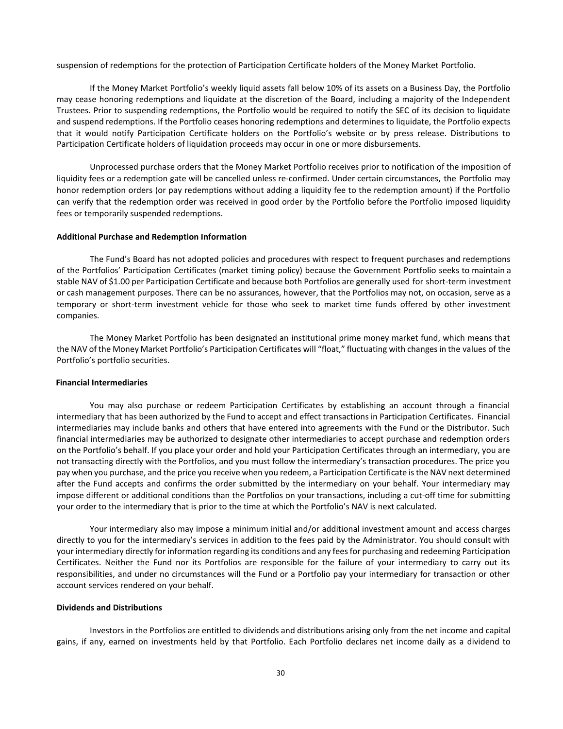suspension of redemptions for the protection of Participation Certificate holders of the Money Market Portfolio.

If the Money Market Portfolio's weekly liquid assets fall below 10% of its assets on a Business Day, the Portfolio may cease honoring redemptions and liquidate at the discretion of the Board, including a majority of the Independent Trustees. Prior to suspending redemptions, the Portfolio would be required to notify the SEC of its decision to liquidate and suspend redemptions. If the Portfolio ceases honoring redemptions and determines to liquidate, the Portfolio expects that it would notify Participation Certificate holders on the Portfolio's website or by press release. Distributions to Participation Certificate holders of liquidation proceeds may occur in one or more disbursements.

Unprocessed purchase orders that the Money Market Portfolio receives prior to notification of the imposition of liquidity fees or a redemption gate will be cancelled unless re-confirmed. Under certain circumstances, the Portfolio may honor redemption orders (or pay redemptions without adding a liquidity fee to the redemption amount) if the Portfolio can verify that the redemption order was received in good order by the Portfolio before the Portfolio imposed liquidity fees or temporarily suspended redemptions.

#### <span id="page-28-0"></span>**Additional Purchase and Redemption Information**

The Fund's Board has not adopted policies and procedures with respect to frequent purchases and redemptions of the Portfolios' Participation Certificates (market timing policy) because the Government Portfolio seeks to maintain a stable NAV of \$1.00 per Participation Certificate and because both Portfolios are generally used for short-term investment or cash management purposes. There can be no assurances, however, that the Portfolios may not, on occasion, serve as a temporary or short-term investment vehicle for those who seek to market time funds offered by other investment companies.

The Money Market Portfolio has been designated an institutional prime money market fund, which means that the NAV of the Money Market Portfolio's Participation Certificates will "float," fluctuating with changes in the values of the Portfolio's portfolio securities.

#### **Financial Intermediaries**

You may also purchase or redeem Participation Certificates by establishing an account through a financial intermediary that has been authorized by the Fund to accept and effect transactions in Participation Certificates. Financial intermediaries may include banks and others that have entered into agreements with the Fund or the Distributor. Such financial intermediaries may be authorized to designate other intermediaries to accept purchase and redemption orders on the Portfolio's behalf. If you place your order and hold your Participation Certificates through an intermediary, you are not transacting directly with the Portfolios, and you must follow the intermediary's transaction procedures. The price you pay when you purchase, and the price you receive when you redeem, a Participation Certificate is the NAV next determined after the Fund accepts and confirms the order submitted by the intermediary on your behalf. Your intermediary may impose different or additional conditions than the Portfolios on your transactions, including a cut-off time for submitting your order to the intermediary that is prior to the time at which the Portfolio's NAV is next calculated.

Your intermediary also may impose a minimum initial and/or additional investment amount and access charges directly to you for the intermediary's services in addition to the fees paid by the Administrator. You should consult with your intermediary directly for information regarding its conditions and any fees for purchasing and redeeming Participation Certificates. Neither the Fund nor its Portfolios are responsible for the failure of your intermediary to carry out its responsibilities, and under no circumstances will the Fund or a Portfolio pay your intermediary for transaction or other account services rendered on your behalf.

## <span id="page-28-1"></span>**Dividends and Distributions**

Investors in the Portfolios are entitled to dividends and distributions arising only from the net income and capital gains, if any, earned on investments held by that Portfolio. Each Portfolio declares net income daily as a dividend to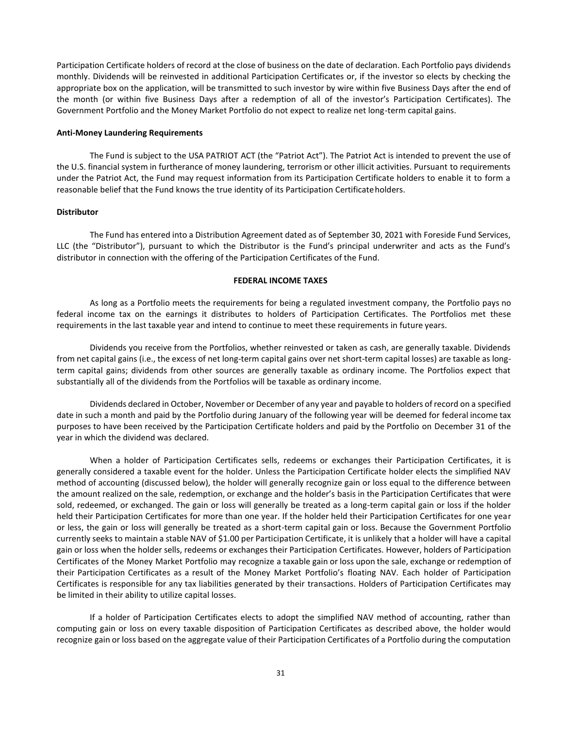Participation Certificate holders of record at the close of business on the date of declaration. Each Portfolio pays dividends monthly. Dividends will be reinvested in additional Participation Certificates or, if the investor so elects by checking the appropriate box on the application, will be transmitted to such investor by wire within five Business Days after the end of the month (or within five Business Days after a redemption of all of the investor's Participation Certificates). The Government Portfolio and the Money Market Portfolio do not expect to realize net long-term capital gains.

#### <span id="page-29-0"></span>**Anti-Money Laundering Requirements**

The Fund is subject to the USA PATRIOT ACT (the "Patriot Act"). The Patriot Act is intended to prevent the use of the U.S. financial system in furtherance of money laundering, terrorism or other illicit activities. Pursuant to requirements under the Patriot Act, the Fund may request information from its Participation Certificate holders to enable it to form a reasonable belief that the Fund knows the true identity of its Participation Certificateholders.

## <span id="page-29-1"></span>**Distributor**

The Fund has entered into a Distribution Agreement dated as of September 30, 2021 with Foreside Fund Services, LLC (the "Distributor"), pursuant to which the Distributor is the Fund's principal underwriter and acts as the Fund's distributor in connection with the offering of the Participation Certificates of the Fund.

#### **FEDERAL INCOME TAXES**

<span id="page-29-2"></span>As long as a Portfolio meets the requirements for being a regulated investment company, the Portfolio pays no federal income tax on the earnings it distributes to holders of Participation Certificates. The Portfolios met these requirements in the last taxable year and intend to continue to meet these requirements in future years.

Dividends you receive from the Portfolios, whether reinvested or taken as cash, are generally taxable. Dividends from net capital gains (i.e., the excess of net long-term capital gains over net short-term capital losses) are taxable as longterm capital gains; dividends from other sources are generally taxable as ordinary income. The Portfolios expect that substantially all of the dividends from the Portfolios will be taxable as ordinary income.

Dividends declared in October, November or December of any year and payable to holders ofrecord on a specified date in such a month and paid by the Portfolio during January of the following year will be deemed for federal income tax purposes to have been received by the Participation Certificate holders and paid by the Portfolio on December 31 of the year in which the dividend was declared.

When a holder of Participation Certificates sells, redeems or exchanges their Participation Certificates, it is generally considered a taxable event for the holder. Unless the Participation Certificate holder elects the simplified NAV method of accounting (discussed below), the holder will generally recognize gain or loss equal to the difference between the amount realized on the sale, redemption, or exchange and the holder's basis in the Participation Certificates that were sold, redeemed, or exchanged. The gain or loss will generally be treated as a long-term capital gain or loss if the holder held their Participation Certificates for more than one year. If the holder held their Participation Certificates for one year or less, the gain or loss will generally be treated as a short-term capital gain or loss. Because the Government Portfolio currently seeks to maintain a stable NAV of \$1.00 per Participation Certificate, it is unlikely that a holder will have a capital gain or loss when the holder sells, redeems or exchanges their Participation Certificates. However, holders of Participation Certificates of the Money Market Portfolio may recognize a taxable gain or loss upon the sale, exchange or redemption of their Participation Certificates as a result of the Money Market Portfolio's floating NAV. Each holder of Participation Certificates is responsible for any tax liabilities generated by their transactions. Holders of Participation Certificates may be limited in their ability to utilize capital losses.

If a holder of Participation Certificates elects to adopt the simplified NAV method of accounting, rather than computing gain or loss on every taxable disposition of Participation Certificates as described above, the holder would recognize gain or loss based on the aggregate value of their Participation Certificates of a Portfolio during the computation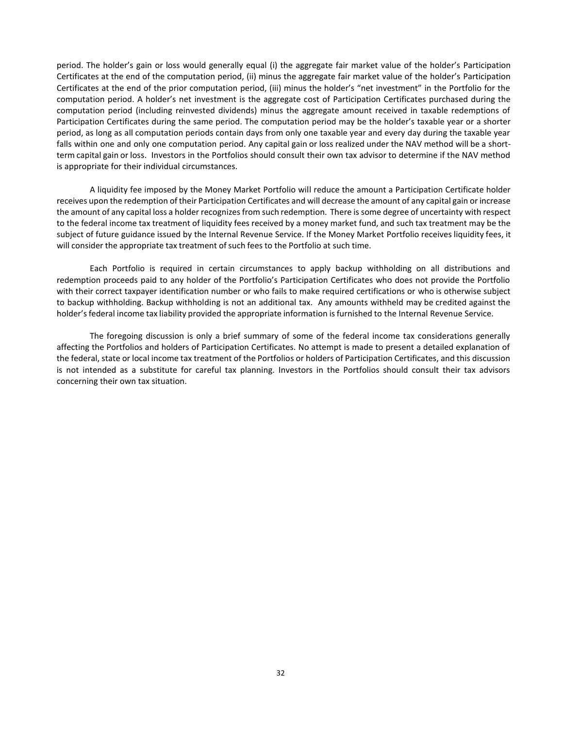period. The holder's gain or loss would generally equal (i) the aggregate fair market value of the holder's Participation Certificates at the end of the computation period, (ii) minus the aggregate fair market value of the holder's Participation Certificates at the end of the prior computation period, (iii) minus the holder's "net investment" in the Portfolio for the computation period. A holder's net investment is the aggregate cost of Participation Certificates purchased during the computation period (including reinvested dividends) minus the aggregate amount received in taxable redemptions of Participation Certificates during the same period. The computation period may be the holder's taxable year or a shorter period, as long as all computation periods contain days from only one taxable year and every day during the taxable year falls within one and only one computation period. Any capital gain or loss realized under the NAV method will be a shortterm capital gain or loss. Investors in the Portfolios should consult their own tax advisor to determine if the NAV method is appropriate for their individual circumstances.

A liquidity fee imposed by the Money Market Portfolio will reduce the amount a Participation Certificate holder receives upon the redemption of their Participation Certificates and will decrease the amount of any capital gain or increase the amount of any capital loss a holder recognizes from such redemption. There is some degree of uncertainty with respect to the federal income tax treatment of liquidity fees received by a money market fund, and such tax treatment may be the subject of future guidance issued by the Internal Revenue Service. If the Money Market Portfolio receives liquidity fees, it will consider the appropriate tax treatment of such fees to the Portfolio at such time.

Each Portfolio is required in certain circumstances to apply backup withholding on all distributions and redemption proceeds paid to any holder of the Portfolio's Participation Certificates who does not provide the Portfolio with their correct taxpayer identification number or who fails to make required certifications or who is otherwise subject to backup withholding. Backup withholding is not an additional tax. Any amounts withheld may be credited against the holder's federal income tax liability provided the appropriate information is furnished to the Internal Revenue Service.

The foregoing discussion is only a brief summary of some of the federal income tax considerations generally affecting the Portfolios and holders of Participation Certificates. No attempt is made to present a detailed explanation of the federal, state or local income tax treatment of the Portfolios or holders of Participation Certificates, and this discussion is not intended as a substitute for careful tax planning. Investors in the Portfolios should consult their tax advisors concerning their own tax situation.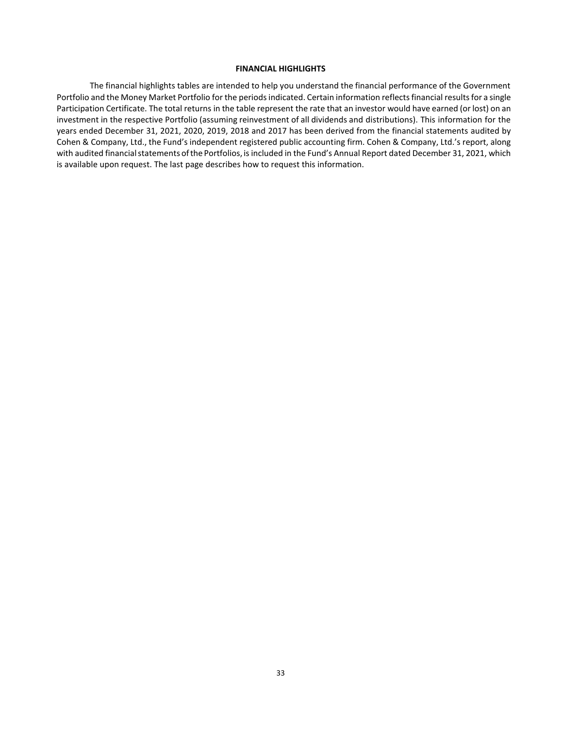# **FINANCIAL HIGHLIGHTS**

<span id="page-31-0"></span>The financial highlights tables are intended to help you understand the financial performance of the Government Portfolio and the Money Market Portfolio for the periods indicated. Certain information reflects financial resultsfor a single Participation Certificate. The total returns in the table represent the rate that an investor would have earned (or lost) on an investment in the respective Portfolio (assuming reinvestment of all dividends and distributions). This information for the years ended December 31, 2021, 2020, 2019, 2018 and 2017 has been derived from the financial statements audited by Cohen & Company, Ltd., the Fund's independent registered public accounting firm. Cohen & Company, Ltd.'s report, along with audited financial statements of the Portfolios, is included in the Fund's Annual Report dated December 31, 2021, which is available upon request. The last page describes how to request this information.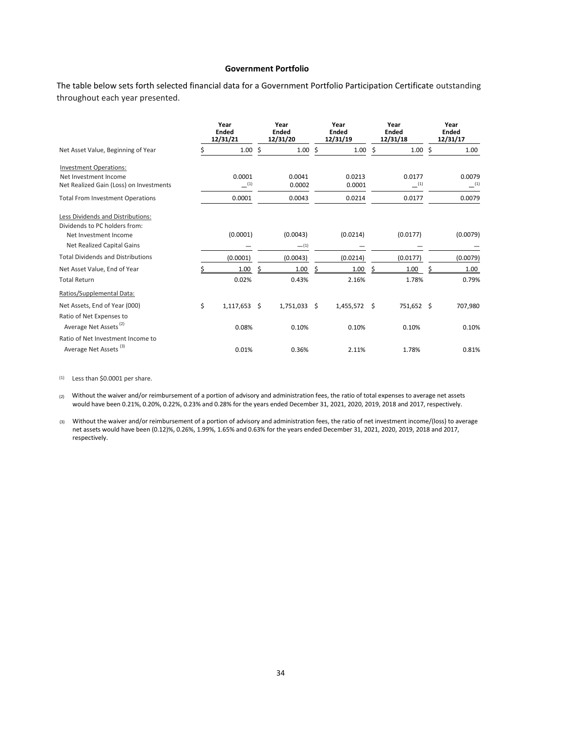## **Government Portfolio**

The table below sets forth selected financial data for a Government Portfolio Participation Certificate outstanding throughout each year presented.

|                                                        | Year<br>Ended<br>12/31/21 |    | Year<br><b>Ended</b><br>12/31/20 |   | Year<br><b>Ended</b><br>12/31/19 |    | Year<br><b>Ended</b><br>12/31/18 | Year<br><b>Ended</b><br>12/31/17 |
|--------------------------------------------------------|---------------------------|----|----------------------------------|---|----------------------------------|----|----------------------------------|----------------------------------|
| Net Asset Value, Beginning of Year                     | $1.00 \pm$                |    | $1.00 \pm$                       |   | $1.00 \pm$                       |    | $1.00 \pm$                       | 1.00                             |
| <b>Investment Operations:</b>                          |                           |    |                                  |   |                                  |    |                                  |                                  |
| Net Investment Income                                  | 0.0001                    |    | 0.0041                           |   | 0.0213                           |    | 0.0177                           | 0.0079                           |
| Net Realized Gain (Loss) on Investments                | (1)                       |    | 0.0002                           |   | 0.0001                           |    | (1)                              | (1)                              |
| <b>Total From Investment Operations</b>                | 0.0001                    |    | 0.0043                           |   | 0.0214                           |    | 0.0177                           | 0.0079                           |
| Less Dividends and Distributions:                      |                           |    |                                  |   |                                  |    |                                  |                                  |
| Dividends to PC holders from:<br>Net Investment Income | (0.0001)                  |    | (0.0043)                         |   | (0.0214)                         |    | (0.0177)                         | (0.0079)                         |
|                                                        |                           |    |                                  |   |                                  |    |                                  |                                  |
| Net Realized Capital Gains                             |                           |    | $-^{(1)}$                        |   |                                  |    |                                  |                                  |
| <b>Total Dividends and Distributions</b>               | (0.0001)                  |    | (0.0043)                         |   | (0.0214)                         |    | (0.0177)                         | (0.0079)                         |
| Net Asset Value, End of Year                           | 1.00                      |    | 1.00                             | Ś | 1.00                             | Ś. | 1.00                             | 1.00                             |
| <b>Total Return</b>                                    | 0.02%                     |    | 0.43%                            |   | 2.16%                            |    | 1.78%                            | 0.79%                            |
| Ratios/Supplemental Data:                              |                           |    |                                  |   |                                  |    |                                  |                                  |
| Net Assets, End of Year (000)                          | \$<br>1,117,653           | Ŝ. | 1,751,033 \$                     |   | 1,455,572 \$                     |    | 751,652 \$                       | 707,980                          |
| Ratio of Net Expenses to                               |                           |    |                                  |   |                                  |    |                                  |                                  |
| Average Net Assets <sup>(2)</sup>                      | 0.08%                     |    | 0.10%                            |   | 0.10%                            |    | 0.10%                            | 0.10%                            |
| Ratio of Net Investment Income to                      |                           |    |                                  |   |                                  |    |                                  |                                  |
| Average Net Assets <sup>(3)</sup>                      | 0.01%                     |    | 0.36%                            |   | 2.11%                            |    | 1.78%                            | 0.81%                            |

(1) Less than \$0.0001 per share.

 (2) Without the waiver and/or reimbursement of a portion of advisory and administration fees, the ratio of total expenses to average net assets would have been 0.21%, 0.20%, 0.22%, 0.23% and 0.28% for the years ended December 31, 2021, 2020, 2019, 2018 and 2017, respectively.

 (3) Without the waiver and/or reimbursement of a portion of advisory and administration fees, the ratio of net investment income/(loss) to average net assets would have been (0.12)%, 0.26%, 1.99%, 1.65% and 0.63% for the years ended December 31, 2021, 2020, 2019, 2018 and 2017, respectively.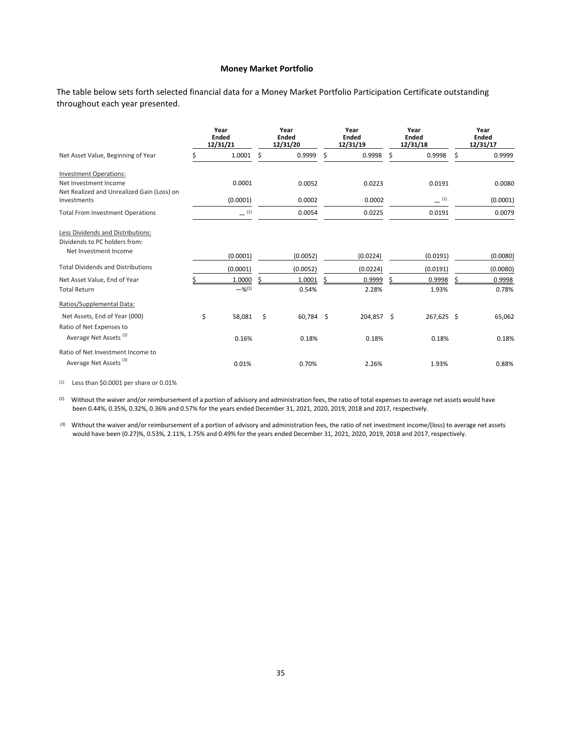# **Money Market Portfolio**

The table below sets forth selected financial data for a Money Market Portfolio Participation Certificate outstanding throughout each year presented.

|                                                                                                      | Year<br><b>Ended</b><br>12/31/21 |                      | Year<br><b>Ended</b><br>12/31/20 |           |    | Year<br><b>Ended</b><br>12/31/19 | Year<br><b>Ended</b><br>12/31/18 |            | Year<br><b>Ended</b><br>12/31/17 |          |
|------------------------------------------------------------------------------------------------------|----------------------------------|----------------------|----------------------------------|-----------|----|----------------------------------|----------------------------------|------------|----------------------------------|----------|
| Net Asset Value, Beginning of Year                                                                   | Ś.                               | 1.0001               | \$                               | 0.9999    | Ŝ. | 0.9998                           | Ś.                               | 0.9998     | \$                               | 0.9999   |
| <b>Investment Operations:</b><br>Net Investment Income<br>Net Realized and Unrealized Gain (Loss) on |                                  | 0.0001               |                                  | 0.0052    |    | 0.0223                           |                                  | 0.0191     |                                  | 0.0080   |
| Investments                                                                                          |                                  | (0.0001)             |                                  | 0.0002    |    | 0.0002                           |                                  | (1)        |                                  | (0.0001) |
| <b>Total From Investment Operations</b>                                                              |                                  | $-$ <sup>(1)</sup>   |                                  | 0.0054    |    | 0.0225                           |                                  | 0.0191     |                                  | 0.0079   |
| Less Dividends and Distributions:<br>Dividends to PC holders from:<br>Net Investment Income          |                                  |                      |                                  |           |    |                                  |                                  |            |                                  |          |
|                                                                                                      |                                  | (0.0001)             |                                  | (0.0052)  |    | (0.0224)                         |                                  | (0.0191)   |                                  | (0.0080) |
| <b>Total Dividends and Distributions</b>                                                             |                                  | (0.0001)             |                                  | (0.0052)  |    | (0.0224)                         |                                  | (0.0191)   |                                  | (0.0080) |
| Net Asset Value, End of Year                                                                         |                                  | 1.0000               | ς                                | 1.0001    | ¢  | 0.9999                           |                                  | 0.9998     | ς.                               | 0.9998   |
| <b>Total Return</b>                                                                                  |                                  | $-$ % <sup>(1)</sup> |                                  | 0.54%     |    | 2.28%                            |                                  | 1.93%      |                                  | 0.78%    |
| Ratios/Supplemental Data:                                                                            |                                  |                      |                                  |           |    |                                  |                                  |            |                                  |          |
| Net Assets, End of Year (000)                                                                        | \$                               | 58,081               | \$                               | 60,784 \$ |    | 204,857 \$                       |                                  | 267,625 \$ |                                  | 65,062   |
| Ratio of Net Expenses to<br>Average Net Assets <sup>(2)</sup>                                        |                                  | 0.16%                |                                  | 0.18%     |    | 0.18%                            |                                  | 0.18%      |                                  | 0.18%    |
| Ratio of Net Investment Income to<br>Average Net Assets <sup>(3)</sup>                               |                                  | 0.01%                |                                  | 0.70%     |    | 2.26%                            |                                  | 1.93%      |                                  | 0.88%    |

(1) Less than \$0.0001 per share or 0.01%

<sup>(2)</sup> Without the waiver and/or reimbursement of a portion of advisory and administration fees, the ratio of total expenses to average net assets would have been 0.44%, 0.35%, 0.32%, 0.36% and 0.57% for the years ended December 31, 2021, 2020, 2019, 2018 and 2017, respectively.

<sup>(3)</sup> Without the waiver and/or reimbursement of a portion of advisory and administration fees, the ratio of net investment income/(loss) to average net assets would have been (0.27)%, 0.53%, 2.11%, 1.75% and 0.49% for the years ended December 31, 2021, 2020, 2019, 2018 and 2017, respectively.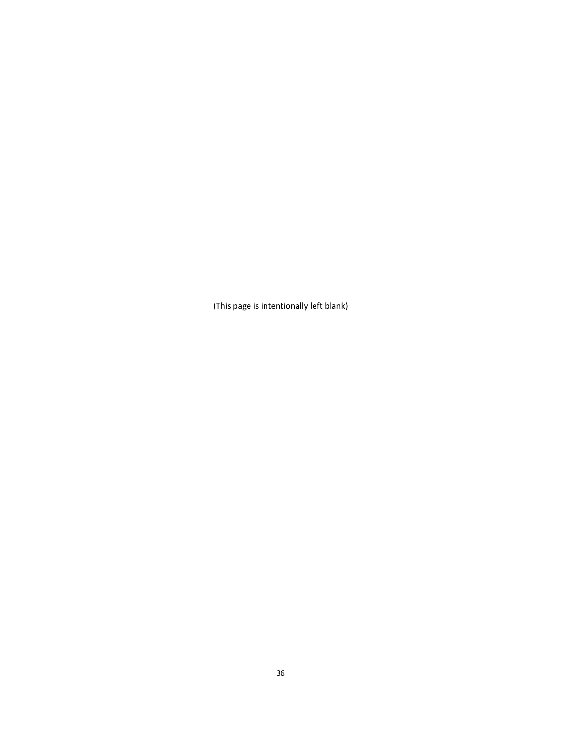(This page is intentionally left blank)